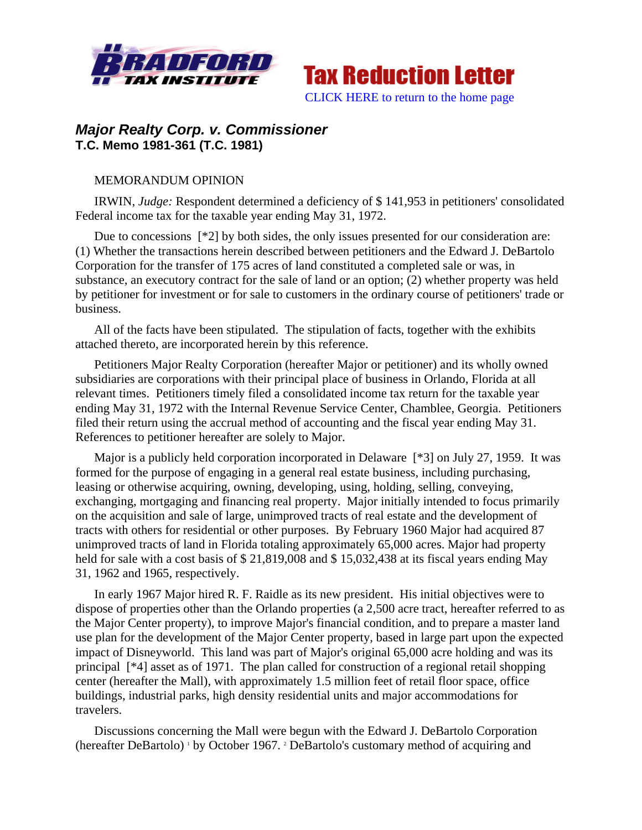



## *Major Realty Corp. v. Commissioner* **T.C. Memo 1981-361 (T.C. 1981)**

## MEMORANDUM OPINION

IRWIN, *Judge:* Respondent determined a deficiency of \$ 141,953 in petitioners' consolidated Federal income tax for the taxable year ending May 31, 1972.

Due to concessions [\*2] by both sides, the only issues presented for our consideration are: (1) Whether the transactions herein described between petitioners and the Edward J. DeBartolo Corporation for the transfer of 175 acres of land constituted a completed sale or was, in substance, an executory contract for the sale of land or an option; (2) whether property was held by petitioner for investment or for sale to customers in the ordinary course of petitioners' trade or business.

All of the facts have been stipulated. The stipulation of facts, together with the exhibits attached thereto, are incorporated herein by this reference.

Petitioners Major Realty Corporation (hereafter Major or petitioner) and its wholly owned subsidiaries are corporations with their principal place of business in Orlando, Florida at all relevant times. Petitioners timely filed a consolidated income tax return for the taxable year ending May 31, 1972 with the Internal Revenue Service Center, Chamblee, Georgia. Petitioners filed their return using the accrual method of accounting and the fiscal year ending May 31. References to petitioner hereafter are solely to Major.

Major is a publicly held corporation incorporated in Delaware [\*3] on July 27, 1959. It was formed for the purpose of engaging in a general real estate business, including purchasing, leasing or otherwise acquiring, owning, developing, using, holding, selling, conveying, exchanging, mortgaging and financing real property. Major initially intended to focus primarily on the acquisition and sale of large, unimproved tracts of real estate and the development of tracts with others for residential or other purposes. By February 1960 Major had acquired 87 unimproved tracts of land in Florida totaling approximately 65,000 acres. Major had property held for sale with a cost basis of \$21,819,008 and \$15,032,438 at its fiscal years ending May 31, 1962 and 1965, respectively.

In early 1967 Major hired R. F. Raidle as its new president. His initial objectives were to dispose of properties other than the Orlando properties (a 2,500 acre tract, hereafter referred to as the Major Center property), to improve Major's financial condition, and to prepare a master land use plan for the development of the Major Center property, based in large part upon the expected impact of Disneyworld. This land was part of Major's original 65,000 acre holding and was its principal [\*4] asset as of 1971. The plan called for construction of a regional retail shopping center (hereafter the Mall), with approximately 1.5 million feet of retail floor space, office buildings, industrial parks, high density residential units and major accommodations for travelers.

Discussions concerning the Mall were begun with the Edward J. DeBartolo Corporation (hereafter DeBartolo)<sup>1</sup> by October 1967.<sup>2</sup> DeBartolo's customary method of acquiring and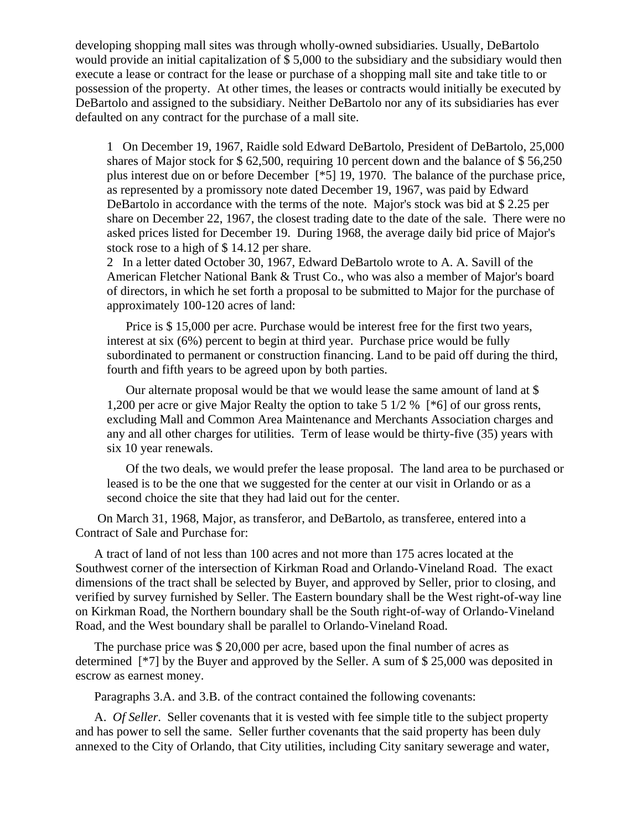developing shopping mall sites was through wholly-owned subsidiaries. Usually, DeBartolo would provide an initial capitalization of \$ 5,000 to the subsidiary and the subsidiary would then execute a lease or contract for the lease or purchase of a shopping mall site and take title to or possession of the property. At other times, the leases or contracts would initially be executed by DeBartolo and assigned to the subsidiary. Neither DeBartolo nor any of its subsidiaries has ever defaulted on any contract for the purchase of a mall site.

1 On December 19, 1967, Raidle sold Edward DeBartolo, President of DeBartolo, 25,000 shares of Major stock for \$62,500, requiring 10 percent down and the balance of \$56,250 plus interest due on or before December [\*5] 19, 1970. The balance of the purchase price, as represented by a promissory note dated December 19, 1967, was paid by Edward DeBartolo in accordance with the terms of the note. Major's stock was bid at \$ 2.25 per share on December 22, 1967, the closest trading date to the date of the sale. There were no asked prices listed for December 19. During 1968, the average daily bid price of Major's stock rose to a high of \$14.12 per share.

2 In a letter dated October 30, 1967, Edward DeBartolo wrote to A. A. Savill of the American Fletcher National Bank & Trust Co., who was also a member of Major's board of directors, in which he set forth a proposal to be submitted to Major for the purchase of approximately 100-120 acres of land:

Price is \$ 15,000 per acre. Purchase would be interest free for the first two years, interest at six (6%) percent to begin at third year. Purchase price would be fully subordinated to permanent or construction financing. Land to be paid off during the third, fourth and fifth years to be agreed upon by both parties.

Our alternate proposal would be that we would lease the same amount of land at \$ 1,200 per acre or give Major Realty the option to take 5 1/2 % [\*6] of our gross rents, excluding Mall and Common Area Maintenance and Merchants Association charges and any and all other charges for utilities. Term of lease would be thirty-five (35) years with six 10 year renewals.

Of the two deals, we would prefer the lease proposal. The land area to be purchased or leased is to be the one that we suggested for the center at our visit in Orlando or as a second choice the site that they had laid out for the center.

 On March 31, 1968, Major, as transferor, and DeBartolo, as transferee, entered into a Contract of Sale and Purchase for:

A tract of land of not less than 100 acres and not more than 175 acres located at the Southwest corner of the intersection of Kirkman Road and Orlando-Vineland Road. The exact dimensions of the tract shall be selected by Buyer, and approved by Seller, prior to closing, and verified by survey furnished by Seller. The Eastern boundary shall be the West right-of-way line on Kirkman Road, the Northern boundary shall be the South right-of-way of Orlando-Vineland Road, and the West boundary shall be parallel to Orlando-Vineland Road.

The purchase price was \$ 20,000 per acre, based upon the final number of acres as determined [\*7] by the Buyer and approved by the Seller. A sum of \$ 25,000 was deposited in escrow as earnest money.

Paragraphs 3.A. and 3.B. of the contract contained the following covenants:

A. *Of Seller*. Seller covenants that it is vested with fee simple title to the subject property and has power to sell the same. Seller further covenants that the said property has been duly annexed to the City of Orlando, that City utilities, including City sanitary sewerage and water,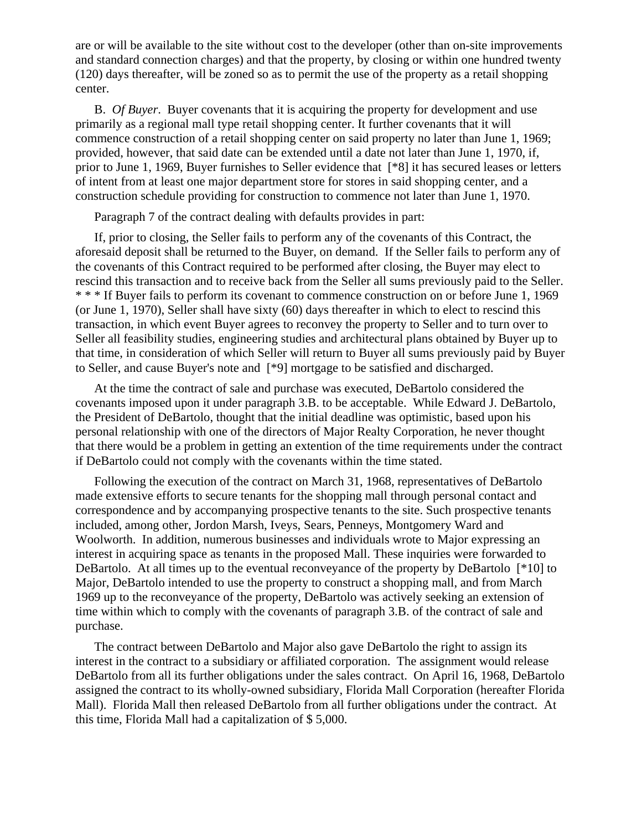are or will be available to the site without cost to the developer (other than on-site improvements and standard connection charges) and that the property, by closing or within one hundred twenty (120) days thereafter, will be zoned so as to permit the use of the property as a retail shopping center.

B. *Of Buyer*. Buyer covenants that it is acquiring the property for development and use primarily as a regional mall type retail shopping center. It further covenants that it will commence construction of a retail shopping center on said property no later than June 1, 1969; provided, however, that said date can be extended until a date not later than June 1, 1970, if, prior to June 1, 1969, Buyer furnishes to Seller evidence that [\*8] it has secured leases or letters of intent from at least one major department store for stores in said shopping center, and a construction schedule providing for construction to commence not later than June 1, 1970.

Paragraph 7 of the contract dealing with defaults provides in part:

If, prior to closing, the Seller fails to perform any of the covenants of this Contract, the aforesaid deposit shall be returned to the Buyer, on demand. If the Seller fails to perform any of the covenants of this Contract required to be performed after closing, the Buyer may elect to rescind this transaction and to receive back from the Seller all sums previously paid to the Seller. \* \* \* If Buyer fails to perform its covenant to commence construction on or before June 1, 1969 (or June 1, 1970), Seller shall have sixty (60) days thereafter in which to elect to rescind this transaction, in which event Buyer agrees to reconvey the property to Seller and to turn over to Seller all feasibility studies, engineering studies and architectural plans obtained by Buyer up to that time, in consideration of which Seller will return to Buyer all sums previously paid by Buyer to Seller, and cause Buyer's note and [\*9] mortgage to be satisfied and discharged.

At the time the contract of sale and purchase was executed, DeBartolo considered the covenants imposed upon it under paragraph 3.B. to be acceptable. While Edward J. DeBartolo, the President of DeBartolo, thought that the initial deadline was optimistic, based upon his personal relationship with one of the directors of Major Realty Corporation, he never thought that there would be a problem in getting an extention of the time requirements under the contract if DeBartolo could not comply with the covenants within the time stated.

Following the execution of the contract on March 31, 1968, representatives of DeBartolo made extensive efforts to secure tenants for the shopping mall through personal contact and correspondence and by accompanying prospective tenants to the site. Such prospective tenants included, among other, Jordon Marsh, Iveys, Sears, Penneys, Montgomery Ward and Woolworth. In addition, numerous businesses and individuals wrote to Major expressing an interest in acquiring space as tenants in the proposed Mall. These inquiries were forwarded to DeBartolo. At all times up to the eventual reconveyance of the property by DeBartolo [\*10] to Major, DeBartolo intended to use the property to construct a shopping mall, and from March 1969 up to the reconveyance of the property, DeBartolo was actively seeking an extension of time within which to comply with the covenants of paragraph 3.B. of the contract of sale and purchase.

The contract between DeBartolo and Major also gave DeBartolo the right to assign its interest in the contract to a subsidiary or affiliated corporation. The assignment would release DeBartolo from all its further obligations under the sales contract. On April 16, 1968, DeBartolo assigned the contract to its wholly-owned subsidiary, Florida Mall Corporation (hereafter Florida Mall). Florida Mall then released DeBartolo from all further obligations under the contract. At this time, Florida Mall had a capitalization of \$ 5,000.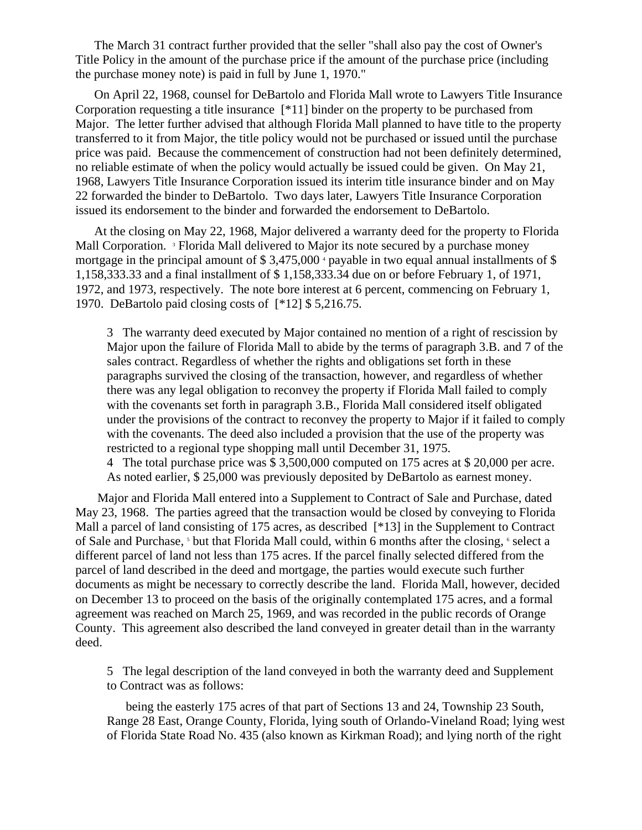The March 31 contract further provided that the seller "shall also pay the cost of Owner's Title Policy in the amount of the purchase price if the amount of the purchase price (including the purchase money note) is paid in full by June 1, 1970."

On April 22, 1968, counsel for DeBartolo and Florida Mall wrote to Lawyers Title Insurance Corporation requesting a title insurance [\*11] binder on the property to be purchased from Major. The letter further advised that although Florida Mall planned to have title to the property transferred to it from Major, the title policy would not be purchased or issued until the purchase price was paid. Because the commencement of construction had not been definitely determined, no reliable estimate of when the policy would actually be issued could be given. On May 21, 1968, Lawyers Title Insurance Corporation issued its interim title insurance binder and on May 22 forwarded the binder to DeBartolo. Two days later, Lawyers Title Insurance Corporation issued its endorsement to the binder and forwarded the endorsement to DeBartolo.

At the closing on May 22, 1968, Major delivered a warranty deed for the property to Florida Mall Corporation. <sup>3</sup> Florida Mall delivered to Major its note secured by a purchase money mortgage in the principal amount of  $$3,475,000$   $^{\circ}$  payable in two equal annual installments of  $$$ 1,158,333.33 and a final installment of \$ 1,158,333.34 due on or before February 1, of 1971, 1972, and 1973, respectively. The note bore interest at 6 percent, commencing on February 1, 1970. DeBartolo paid closing costs of [\*12] \$ 5,216.75.

3 The warranty deed executed by Major contained no mention of a right of rescission by Major upon the failure of Florida Mall to abide by the terms of paragraph 3.B. and 7 of the sales contract. Regardless of whether the rights and obligations set forth in these paragraphs survived the closing of the transaction, however, and regardless of whether there was any legal obligation to reconvey the property if Florida Mall failed to comply with the covenants set forth in paragraph 3.B., Florida Mall considered itself obligated under the provisions of the contract to reconvey the property to Major if it failed to comply with the covenants. The deed also included a provision that the use of the property was restricted to a regional type shopping mall until December 31, 1975.

4 The total purchase price was \$ 3,500,000 computed on 175 acres at \$ 20,000 per acre. As noted earlier, \$ 25,000 was previously deposited by DeBartolo as earnest money.

 Major and Florida Mall entered into a Supplement to Contract of Sale and Purchase, dated May 23, 1968. The parties agreed that the transaction would be closed by conveying to Florida Mall a parcel of land consisting of 175 acres, as described [\*13] in the Supplement to Contract of Sale and Purchase, <sup>5</sup> but that Florida Mall could, within 6 months after the closing, <sup>6</sup> select a different parcel of land not less than 175 acres. If the parcel finally selected differed from the parcel of land described in the deed and mortgage, the parties would execute such further documents as might be necessary to correctly describe the land. Florida Mall, however, decided on December 13 to proceed on the basis of the originally contemplated 175 acres, and a formal agreement was reached on March 25, 1969, and was recorded in the public records of Orange County. This agreement also described the land conveyed in greater detail than in the warranty deed.

5 The legal description of the land conveyed in both the warranty deed and Supplement to Contract was as follows:

being the easterly 175 acres of that part of Sections 13 and 24, Township 23 South, Range 28 East, Orange County, Florida, lying south of Orlando-Vineland Road; lying west of Florida State Road No. 435 (also known as Kirkman Road); and lying north of the right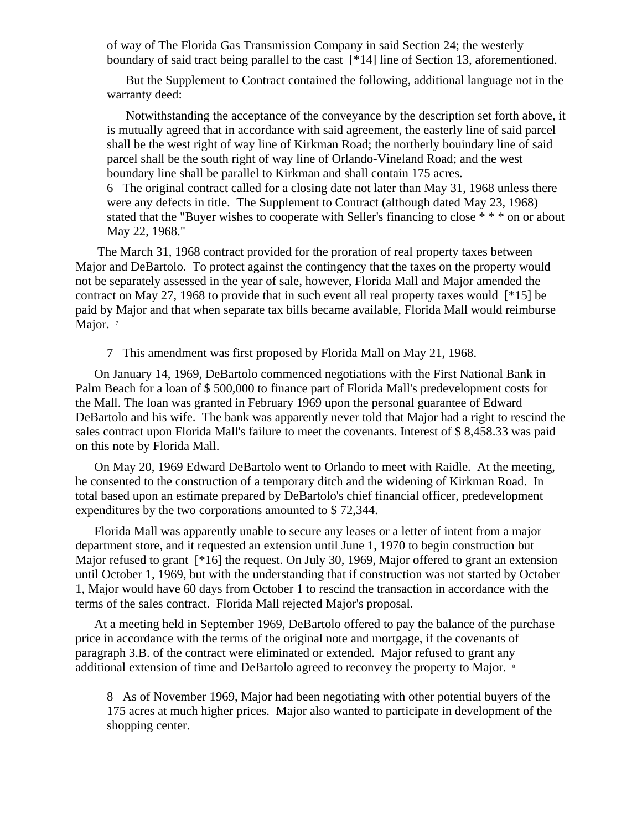of way of The Florida Gas Transmission Company in said Section 24; the westerly boundary of said tract being parallel to the cast [\*14] line of Section 13, aforementioned.

But the Supplement to Contract contained the following, additional language not in the warranty deed:

Notwithstanding the acceptance of the conveyance by the description set forth above, it is mutually agreed that in accordance with said agreement, the easterly line of said parcel shall be the west right of way line of Kirkman Road; the northerly bouindary line of said parcel shall be the south right of way line of Orlando-Vineland Road; and the west boundary line shall be parallel to Kirkman and shall contain 175 acres.

6 The original contract called for a closing date not later than May 31, 1968 unless there were any defects in title. The Supplement to Contract (although dated May 23, 1968) stated that the "Buyer wishes to cooperate with Seller's financing to close \* \* \* on or about May 22, 1968."

 The March 31, 1968 contract provided for the proration of real property taxes between Major and DeBartolo. To protect against the contingency that the taxes on the property would not be separately assessed in the year of sale, however, Florida Mall and Major amended the contract on May 27, 1968 to provide that in such event all real property taxes would [\*15] be paid by Major and that when separate tax bills became available, Florida Mall would reimburse Major.  $7$ 

7 This amendment was first proposed by Florida Mall on May 21, 1968.

On January 14, 1969, DeBartolo commenced negotiations with the First National Bank in Palm Beach for a loan of \$ 500,000 to finance part of Florida Mall's predevelopment costs for the Mall. The loan was granted in February 1969 upon the personal guarantee of Edward DeBartolo and his wife. The bank was apparently never told that Major had a right to rescind the sales contract upon Florida Mall's failure to meet the covenants. Interest of \$ 8,458.33 was paid on this note by Florida Mall.

On May 20, 1969 Edward DeBartolo went to Orlando to meet with Raidle. At the meeting, he consented to the construction of a temporary ditch and the widening of Kirkman Road. In total based upon an estimate prepared by DeBartolo's chief financial officer, predevelopment expenditures by the two corporations amounted to \$ 72,344.

Florida Mall was apparently unable to secure any leases or a letter of intent from a major department store, and it requested an extension until June 1, 1970 to begin construction but Major refused to grant [\*16] the request. On July 30, 1969, Major offered to grant an extension until October 1, 1969, but with the understanding that if construction was not started by October 1, Major would have 60 days from October 1 to rescind the transaction in accordance with the terms of the sales contract. Florida Mall rejected Major's proposal.

At a meeting held in September 1969, DeBartolo offered to pay the balance of the purchase price in accordance with the terms of the original note and mortgage, if the covenants of paragraph 3.B. of the contract were eliminated or extended. Major refused to grant any additional extension of time and DeBartolo agreed to reconvey the property to Major. <sup>8</sup>

8 As of November 1969, Major had been negotiating with other potential buyers of the 175 acres at much higher prices. Major also wanted to participate in development of the shopping center.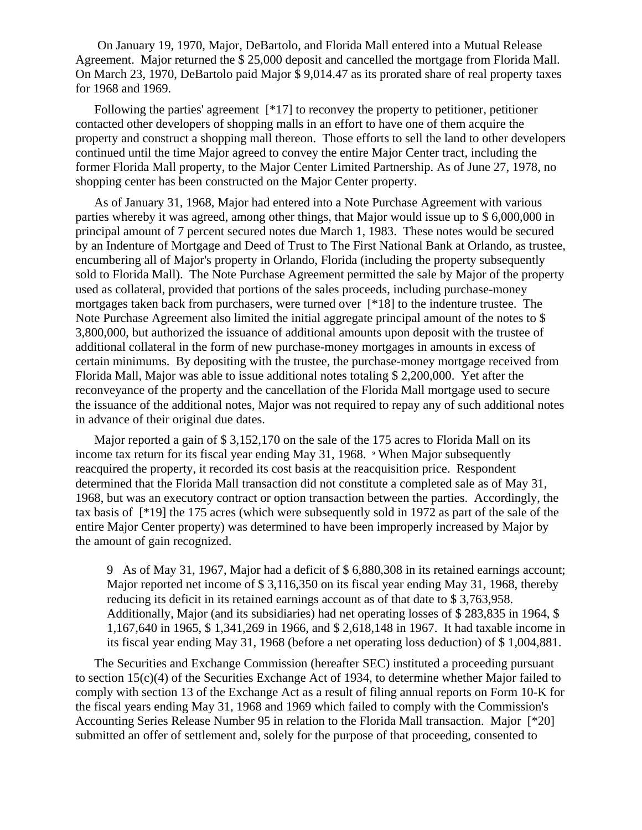On January 19, 1970, Major, DeBartolo, and Florida Mall entered into a Mutual Release Agreement. Major returned the \$ 25,000 deposit and cancelled the mortgage from Florida Mall. On March 23, 1970, DeBartolo paid Major \$ 9,014.47 as its prorated share of real property taxes for 1968 and 1969.

Following the parties' agreement  $[*17]$  to reconvey the property to petitioner, petitioner contacted other developers of shopping malls in an effort to have one of them acquire the property and construct a shopping mall thereon. Those efforts to sell the land to other developers continued until the time Major agreed to convey the entire Major Center tract, including the former Florida Mall property, to the Major Center Limited Partnership. As of June 27, 1978, no shopping center has been constructed on the Major Center property.

As of January 31, 1968, Major had entered into a Note Purchase Agreement with various parties whereby it was agreed, among other things, that Major would issue up to \$ 6,000,000 in principal amount of 7 percent secured notes due March 1, 1983. These notes would be secured by an Indenture of Mortgage and Deed of Trust to The First National Bank at Orlando, as trustee, encumbering all of Major's property in Orlando, Florida (including the property subsequently sold to Florida Mall). The Note Purchase Agreement permitted the sale by Major of the property used as collateral, provided that portions of the sales proceeds, including purchase-money mortgages taken back from purchasers, were turned over [\*18] to the indenture trustee. The Note Purchase Agreement also limited the initial aggregate principal amount of the notes to \$ 3,800,000, but authorized the issuance of additional amounts upon deposit with the trustee of additional collateral in the form of new purchase-money mortgages in amounts in excess of certain minimums. By depositing with the trustee, the purchase-money mortgage received from Florida Mall, Major was able to issue additional notes totaling \$ 2,200,000. Yet after the reconveyance of the property and the cancellation of the Florida Mall mortgage used to secure the issuance of the additional notes, Major was not required to repay any of such additional notes in advance of their original due dates.

Major reported a gain of \$ 3,152,170 on the sale of the 175 acres to Florida Mall on its income tax return for its fiscal year ending May 31, 1968. *'* When Major subsequently reacquired the property, it recorded its cost basis at the reacquisition price. Respondent determined that the Florida Mall transaction did not constitute a completed sale as of May 31, 1968, but was an executory contract or option transaction between the parties. Accordingly, the tax basis of [\*19] the 175 acres (which were subsequently sold in 1972 as part of the sale of the entire Major Center property) was determined to have been improperly increased by Major by the amount of gain recognized.

9 As of May 31, 1967, Major had a deficit of \$ 6,880,308 in its retained earnings account; Major reported net income of \$ 3,116,350 on its fiscal year ending May 31, 1968, thereby reducing its deficit in its retained earnings account as of that date to \$ 3,763,958. Additionally, Major (and its subsidiaries) had net operating losses of \$ 283,835 in 1964, \$ 1,167,640 in 1965, \$ 1,341,269 in 1966, and \$ 2,618,148 in 1967. It had taxable income in its fiscal year ending May 31, 1968 (before a net operating loss deduction) of \$ 1,004,881.

The Securities and Exchange Commission (hereafter SEC) instituted a proceeding pursuant to section 15(c)(4) of the Securities Exchange Act of 1934, to determine whether Major failed to comply with section 13 of the Exchange Act as a result of filing annual reports on Form 10-K for the fiscal years ending May 31, 1968 and 1969 which failed to comply with the Commission's Accounting Series Release Number 95 in relation to the Florida Mall transaction. Major [\*20] submitted an offer of settlement and, solely for the purpose of that proceeding, consented to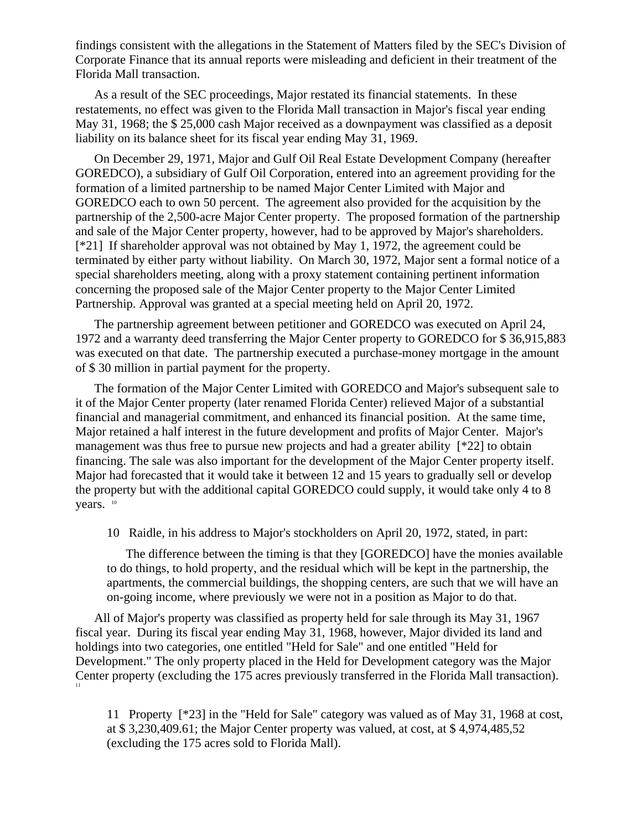findings consistent with the allegations in the Statement of Matters filed by the SEC's Division of Corporate Finance that its annual reports were misleading and deficient in their treatment of the Florida Mall transaction.

As a result of the SEC proceedings, Major restated its financial statements. In these restatements, no effect was given to the Florida Mall transaction in Major's fiscal year ending May 31, 1968; the \$ 25,000 cash Major received as a downpayment was classified as a deposit liability on its balance sheet for its fiscal year ending May 31, 1969.

On December 29, 1971, Major and Gulf Oil Real Estate Development Company (hereafter GOREDCO), a subsidiary of Gulf Oil Corporation, entered into an agreement providing for the formation of a limited partnership to be named Major Center Limited with Major and GOREDCO each to own 50 percent. The agreement also provided for the acquisition by the partnership of the 2,500-acre Major Center property. The proposed formation of the partnership and sale of the Major Center property, however, had to be approved by Major's shareholders. [\*21] If shareholder approval was not obtained by May 1, 1972, the agreement could be terminated by either party without liability. On March 30, 1972, Major sent a formal notice of a special shareholders meeting, along with a proxy statement containing pertinent information concerning the proposed sale of the Major Center property to the Major Center Limited Partnership. Approval was granted at a special meeting held on April 20, 1972.

The partnership agreement between petitioner and GOREDCO was executed on April 24, 1972 and a warranty deed transferring the Major Center property to GOREDCO for \$ 36,915,883 was executed on that date. The partnership executed a purchase-money mortgage in the amount of \$ 30 million in partial payment for the property.

The formation of the Major Center Limited with GOREDCO and Major's subsequent sale to it of the Major Center property (later renamed Florida Center) relieved Major of a substantial financial and managerial commitment, and enhanced its financial position. At the same time, Major retained a half interest in the future development and profits of Major Center. Major's management was thus free to pursue new projects and had a greater ability [\*22] to obtain financing. The sale was also important for the development of the Major Center property itself. Major had forecasted that it would take it between 12 and 15 years to gradually sell or develop the property but with the additional capital GOREDCO could supply, it would take only 4 to 8 years.  $10$ 

10 Raidle, in his address to Major's stockholders on April 20, 1972, stated, in part:

The difference between the timing is that they [GOREDCO] have the monies available to do things, to hold property, and the residual which will be kept in the partnership, the apartments, the commercial buildings, the shopping centers, are such that we will have an on-going income, where previously we were not in a position as Major to do that.

All of Major's property was classified as property held for sale through its May 31, 1967 fiscal year. During its fiscal year ending May 31, 1968, however, Major divided its land and holdings into two categories, one entitled "Held for Sale" and one entitled "Held for Development." The only property placed in the Held for Development category was the Major Center property (excluding the 175 acres previously transferred in the Florida Mall transaction).

11 Property [\*23] in the "Held for Sale" category was valued as of May 31, 1968 at cost, at \$ 3,230,409.61; the Major Center property was valued, at cost, at \$ 4,974,485,52 (excluding the 175 acres sold to Florida Mall).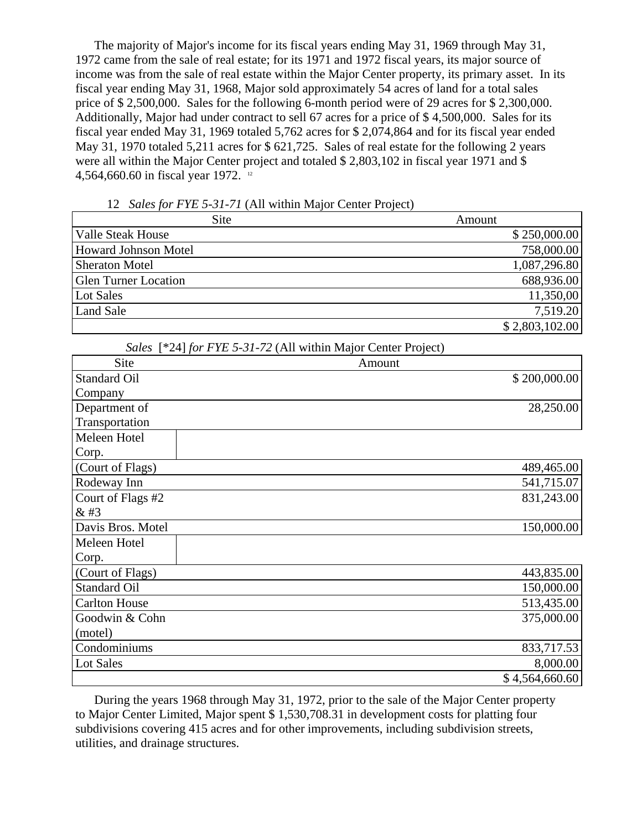The majority of Major's income for its fiscal years ending May 31, 1969 through May 31, 1972 came from the sale of real estate; for its 1971 and 1972 fiscal years, its major source of income was from the sale of real estate within the Major Center property, its primary asset. In its fiscal year ending May 31, 1968, Major sold approximately 54 acres of land for a total sales price of \$ 2,500,000. Sales for the following 6-month period were of 29 acres for \$ 2,300,000. Additionally, Major had under contract to sell 67 acres for a price of \$ 4,500,000. Sales for its fiscal year ended May 31, 1969 totaled 5,762 acres for \$ 2,074,864 and for its fiscal year ended May 31, 1970 totaled 5,211 acres for \$ 621,725. Sales of real estate for the following 2 years were all within the Major Center project and totaled \$ 2,803,102 in fiscal year 1971 and \$ 4,564,660.60 in fiscal year 1972. 12

12 *Sales for FYE 5-31-71* (All within Major Center Project)

| <b>Site</b>                 | Amount         |
|-----------------------------|----------------|
| Valle Steak House           | \$250,000.00   |
| <b>Howard Johnson Motel</b> | 758,000.00     |
| <b>Sheraton Motel</b>       | 1,087,296.80   |
| <b>Glen Turner Location</b> | 688,936.00     |
| Lot Sales                   | 11,350,00      |
| <b>Land Sale</b>            | 7,519.20       |
|                             | \$2,803,102.00 |

*Sales* [\*24] *for FYE 5-31-72* (All within Major Center Project)

| Site                 | Amount |                |
|----------------------|--------|----------------|
| <b>Standard Oil</b>  |        | \$200,000.00   |
| Company              |        |                |
| Department of        |        | 28,250.00      |
| Transportation       |        |                |
| Meleen Hotel         |        |                |
| Corp.                |        |                |
| (Court of Flags)     |        | 489,465.00     |
| Rodeway Inn          |        | 541,715.07     |
| Court of Flags #2    |        | 831,243.00     |
| & 43                 |        |                |
| Davis Bros. Motel    |        | 150,000.00     |
| Meleen Hotel         |        |                |
| Corp.                |        |                |
| (Court of Flags)     |        | 443,835.00     |
| <b>Standard Oil</b>  |        | 150,000.00     |
| <b>Carlton House</b> |        | 513,435.00     |
| Goodwin & Cohn       |        | 375,000.00     |
| (motel)              |        |                |
| Condominiums         |        | 833,717.53     |
| <b>Lot Sales</b>     |        | 8,000.00       |
|                      |        | \$4,564,660.60 |

During the years 1968 through May 31, 1972, prior to the sale of the Major Center property to Major Center Limited, Major spent \$ 1,530,708.31 in development costs for platting four subdivisions covering 415 acres and for other improvements, including subdivision streets, utilities, and drainage structures.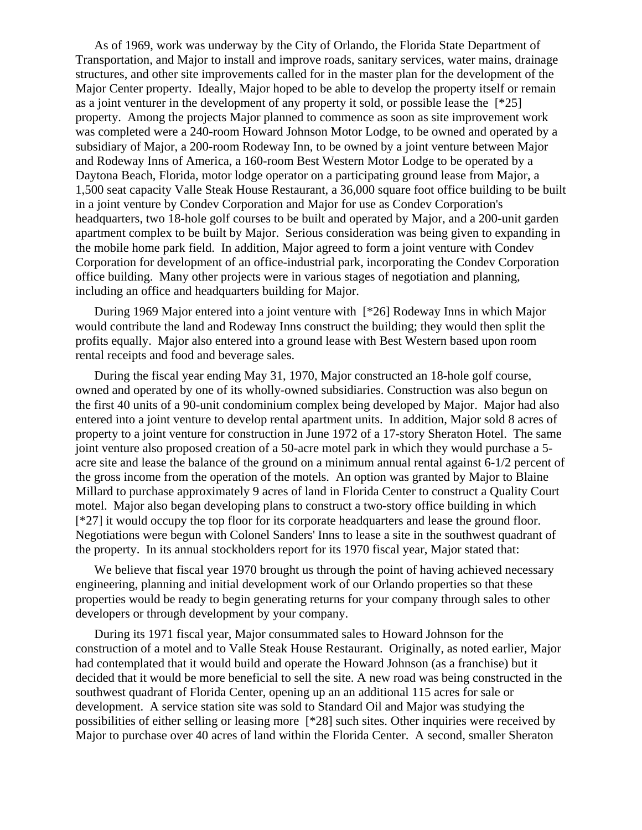As of 1969, work was underway by the City of Orlando, the Florida State Department of Transportation, and Major to install and improve roads, sanitary services, water mains, drainage structures, and other site improvements called for in the master plan for the development of the Major Center property. Ideally, Major hoped to be able to develop the property itself or remain as a joint venturer in the development of any property it sold, or possible lease the [\*25] property. Among the projects Major planned to commence as soon as site improvement work was completed were a 240-room Howard Johnson Motor Lodge, to be owned and operated by a subsidiary of Major, a 200-room Rodeway Inn, to be owned by a joint venture between Major and Rodeway Inns of America, a 160-room Best Western Motor Lodge to be operated by a Daytona Beach, Florida, motor lodge operator on a participating ground lease from Major, a 1,500 seat capacity Valle Steak House Restaurant, a 36,000 square foot office building to be built in a joint venture by Condev Corporation and Major for use as Condev Corporation's headquarters, two 18-hole golf courses to be built and operated by Major, and a 200-unit garden apartment complex to be built by Major. Serious consideration was being given to expanding in the mobile home park field. In addition, Major agreed to form a joint venture with Condev Corporation for development of an office-industrial park, incorporating the Condev Corporation office building. Many other projects were in various stages of negotiation and planning, including an office and headquarters building for Major.

During 1969 Major entered into a joint venture with [\*26] Rodeway Inns in which Major would contribute the land and Rodeway Inns construct the building; they would then split the profits equally. Major also entered into a ground lease with Best Western based upon room rental receipts and food and beverage sales.

During the fiscal year ending May 31, 1970, Major constructed an 18-hole golf course, owned and operated by one of its wholly-owned subsidiaries. Construction was also begun on the first 40 units of a 90-unit condominium complex being developed by Major. Major had also entered into a joint venture to develop rental apartment units. In addition, Major sold 8 acres of property to a joint venture for construction in June 1972 of a 17-story Sheraton Hotel. The same joint venture also proposed creation of a 50-acre motel park in which they would purchase a 5 acre site and lease the balance of the ground on a minimum annual rental against 6-1/2 percent of the gross income from the operation of the motels. An option was granted by Major to Blaine Millard to purchase approximately 9 acres of land in Florida Center to construct a Quality Court motel. Major also began developing plans to construct a two-story office building in which [\*27] it would occupy the top floor for its corporate headquarters and lease the ground floor. Negotiations were begun with Colonel Sanders' Inns to lease a site in the southwest quadrant of the property. In its annual stockholders report for its 1970 fiscal year, Major stated that:

We believe that fiscal year 1970 brought us through the point of having achieved necessary engineering, planning and initial development work of our Orlando properties so that these properties would be ready to begin generating returns for your company through sales to other developers or through development by your company.

During its 1971 fiscal year, Major consummated sales to Howard Johnson for the construction of a motel and to Valle Steak House Restaurant. Originally, as noted earlier, Major had contemplated that it would build and operate the Howard Johnson (as a franchise) but it decided that it would be more beneficial to sell the site. A new road was being constructed in the southwest quadrant of Florida Center, opening up an an additional 115 acres for sale or development. A service station site was sold to Standard Oil and Major was studying the possibilities of either selling or leasing more [\*28] such sites. Other inquiries were received by Major to purchase over 40 acres of land within the Florida Center. A second, smaller Sheraton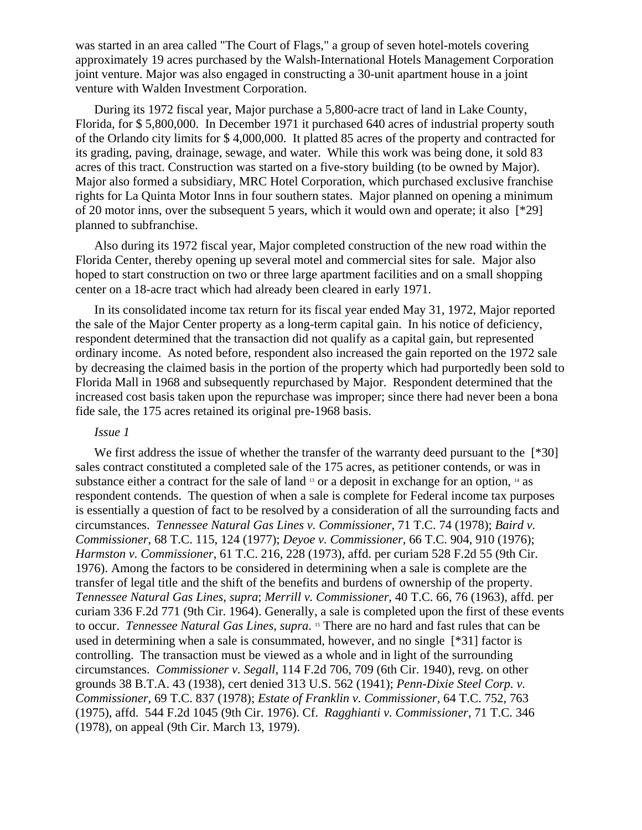was started in an area called "The Court of Flags," a group of seven hotel-motels covering approximately 19 acres purchased by the Walsh-International Hotels Management Corporation joint venture. Major was also engaged in constructing a 30-unit apartment house in a joint venture with Walden Investment Corporation.

During its 1972 fiscal year, Major purchase a 5,800-acre tract of land in Lake County, Florida, for \$ 5,800,000. In December 1971 it purchased 640 acres of industrial property south of the Orlando city limits for \$ 4,000,000. It platted 85 acres of the property and contracted for its grading, paving, drainage, sewage, and water. While this work was being done, it sold 83 acres of this tract. Construction was started on a five-story building (to be owned by Major). Major also formed a subsidiary, MRC Hotel Corporation, which purchased exclusive franchise rights for La Quinta Motor Inns in four southern states. Major planned on opening a minimum of 20 motor inns, over the subsequent 5 years, which it would own and operate; it also [\*29] planned to subfranchise.

Also during its 1972 fiscal year, Major completed construction of the new road within the Florida Center, thereby opening up several motel and commercial sites for sale. Major also hoped to start construction on two or three large apartment facilities and on a small shopping center on a 18-acre tract which had already been cleared in early 1971.

In its consolidated income tax return for its fiscal year ended May 31, 1972, Major reported the sale of the Major Center property as a long-term capital gain. In his notice of deficiency, respondent determined that the transaction did not qualify as a capital gain, but represented ordinary income. As noted before, respondent also increased the gain reported on the 1972 sale by decreasing the claimed basis in the portion of the property which had purportedly been sold to Florida Mall in 1968 and subsequently repurchased by Major. Respondent determined that the increased cost basis taken upon the repurchase was improper; since there had never been a bona fide sale, the 175 acres retained its original pre-1968 basis.

## *Issue 1*

We first address the issue of whether the transfer of the warranty deed pursuant to the [\*30] sales contract constituted a completed sale of the 175 acres, as petitioner contends, or was in substance either a contract for the sale of land  $\frac{13}{12}$  or a deposit in exchange for an option,  $\frac{14}{14}$  as respondent contends. The question of when a sale is complete for Federal income tax purposes is essentially a question of fact to be resolved by a consideration of all the surrounding facts and circumstances. *Tennessee Natural Gas Lines v. Commissioner*, 71 T.C. 74 (1978); *Baird v. Commissioner*, 68 T.C. 115, 124 (1977); *Deyoe v. Commissioner*, 66 T.C. 904, 910 (1976); *Harmston v. Commissioner*, 61 T.C. 216, 228 (1973), affd. per curiam 528 F.2d 55 (9th Cir. 1976). Among the factors to be considered in determining when a sale is complete are the transfer of legal title and the shift of the benefits and burdens of ownership of the property. *Tennessee Natural Gas Lines*, *supra*; *Merrill v. Commissioner*, 40 T.C. 66, 76 (1963), affd. per curiam 336 F.2d 771 (9th Cir. 1964). Generally, a sale is completed upon the first of these events to occur. *Tennessee Natural Gas Lines*, *supra*. 15 There are no hard and fast rules that can be used in determining when a sale is consummated, however, and no single [\*31] factor is controlling. The transaction must be viewed as a whole and in light of the surrounding circumstances. *Commissioner v. Segall*, 114 F.2d 706, 709 (6th Cir. 1940), revg. on other grounds 38 B.T.A. 43 (1938), cert denied 313 U.S. 562 (1941); *Penn-Dixie Steel Corp. v. Commissioner*, 69 T.C. 837 (1978); *Estate of Franklin v. Commissioner*, 64 T.C. 752, 763 (1975), affd. 544 F.2d 1045 (9th Cir. 1976). Cf. *Ragghianti v. Commissioner*, 71 T.C. 346 (1978), on appeal (9th Cir. March 13, 1979).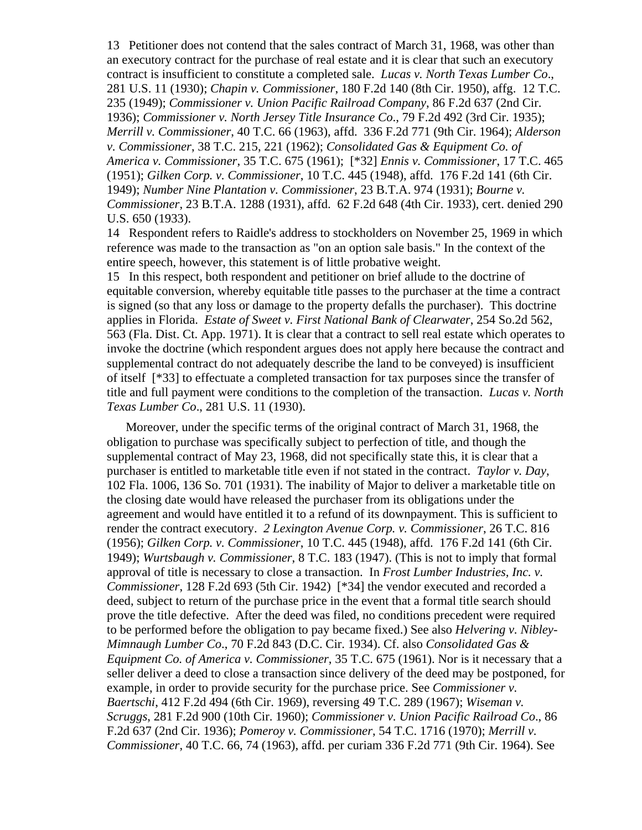13 Petitioner does not contend that the sales contract of March 31, 1968, was other than an executory contract for the purchase of real estate and it is clear that such an executory contract is insufficient to constitute a completed sale. *Lucas v. North Texas Lumber Co*., 281 U.S. 11 (1930); *Chapin v. Commissioner*, 180 F.2d 140 (8th Cir. 1950), affg. 12 T.C. 235 (1949); *Commissioner v. Union Pacific Railroad Company*, 86 F.2d 637 (2nd Cir. 1936); *Commissioner v. North Jersey Title Insurance Co*., 79 F.2d 492 (3rd Cir. 1935); *Merrill v. Commissioner*, 40 T.C. 66 (1963), affd. 336 F.2d 771 (9th Cir. 1964); *Alderson v. Commissioner*, 38 T.C. 215, 221 (1962); *Consolidated Gas & Equipment Co. of America v. Commissioner*, 35 T.C. 675 (1961); [\*32] *Ennis v. Commissioner*, 17 T.C. 465 (1951); *Gilken Corp. v. Commissioner*, 10 T.C. 445 (1948), affd. 176 F.2d 141 (6th Cir. 1949); *Number Nine Plantation v. Commissioner*, 23 B.T.A. 974 (1931); *Bourne v. Commissioner*, 23 B.T.A. 1288 (1931), affd. 62 F.2d 648 (4th Cir. 1933), cert. denied 290 U.S. 650 (1933).

14 Respondent refers to Raidle's address to stockholders on November 25, 1969 in which reference was made to the transaction as "on an option sale basis." In the context of the entire speech, however, this statement is of little probative weight.

15 In this respect, both respondent and petitioner on brief allude to the doctrine of equitable conversion, whereby equitable title passes to the purchaser at the time a contract is signed (so that any loss or damage to the property defalls the purchaser). This doctrine applies in Florida. *Estate of Sweet v. First National Bank of Clearwater*, 254 So.2d 562, 563 (Fla. Dist. Ct. App. 1971). It is clear that a contract to sell real estate which operates to invoke the doctrine (which respondent argues does not apply here because the contract and supplemental contract do not adequately describe the land to be conveyed) is insufficient of itself [\*33] to effectuate a completed transaction for tax purposes since the transfer of title and full payment were conditions to the completion of the transaction. *Lucas v. North Texas Lumber Co*., 281 U.S. 11 (1930).

Moreover, under the specific terms of the original contract of March 31, 1968, the obligation to purchase was specifically subject to perfection of title, and though the supplemental contract of May 23, 1968, did not specifically state this, it is clear that a purchaser is entitled to marketable title even if not stated in the contract. *Taylor v. Day*, 102 Fla. 1006, 136 So. 701 (1931). The inability of Major to deliver a marketable title on the closing date would have released the purchaser from its obligations under the agreement and would have entitled it to a refund of its downpayment. This is sufficient to render the contract executory. *2 Lexington Avenue Corp. v. Commissioner*, 26 T.C. 816 (1956); *Gilken Corp. v. Commissioner*, 10 T.C. 445 (1948), affd. 176 F.2d 141 (6th Cir. 1949); *Wurtsbaugh v. Commissioner*, 8 T.C. 183 (1947). (This is not to imply that formal approval of title is necessary to close a transaction. In *Frost Lumber Industries, Inc. v. Commissioner*, 128 F.2d 693 (5th Cir. 1942) [\*34] the vendor executed and recorded a deed, subject to return of the purchase price in the event that a formal title search should prove the title defective. After the deed was filed, no conditions precedent were required to be performed before the obligation to pay became fixed.) See also *Helvering v. Nibley-Mimnaugh Lumber Co*., 70 F.2d 843 (D.C. Cir. 1934). Cf. also *Consolidated Gas & Equipment Co. of America v. Commissioner*, 35 T.C. 675 (1961). Nor is it necessary that a seller deliver a deed to close a transaction since delivery of the deed may be postponed, for example, in order to provide security for the purchase price. See *Commissioner v. Baertschi*, 412 F.2d 494 (6th Cir. 1969), reversing 49 T.C. 289 (1967); *Wiseman v. Scruggs*, 281 F.2d 900 (10th Cir. 1960); *Commissioner v. Union Pacific Railroad Co*., 86 F.2d 637 (2nd Cir. 1936); *Pomeroy v. Commissioner*, 54 T.C. 1716 (1970); *Merrill v. Commissioner*, 40 T.C. 66, 74 (1963), affd. per curiam 336 F.2d 771 (9th Cir. 1964). See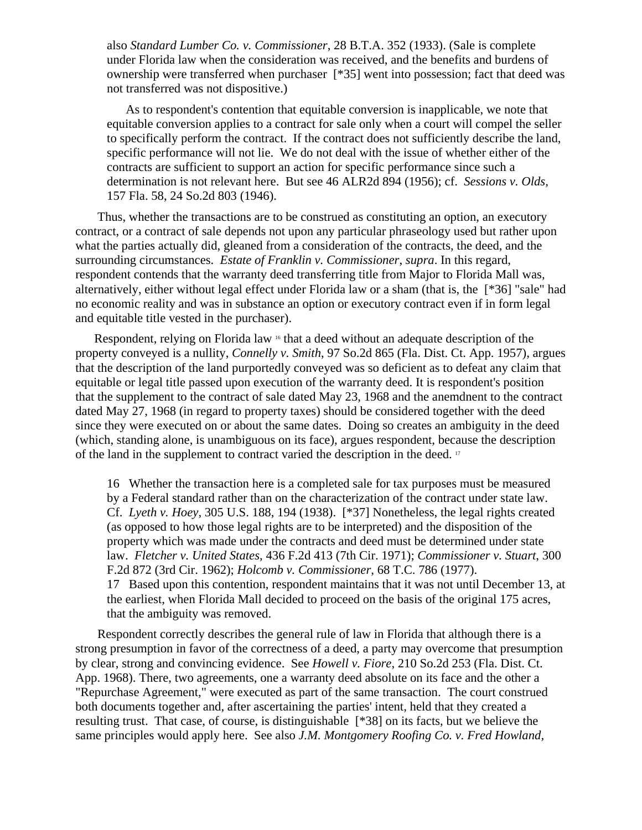also *Standard Lumber Co. v. Commissioner*, 28 B.T.A. 352 (1933). (Sale is complete under Florida law when the consideration was received, and the benefits and burdens of ownership were transferred when purchaser [\*35] went into possession; fact that deed was not transferred was not dispositive.)

As to respondent's contention that equitable conversion is inapplicable, we note that equitable conversion applies to a contract for sale only when a court will compel the seller to specifically perform the contract. If the contract does not sufficiently describe the land, specific performance will not lie. We do not deal with the issue of whether either of the contracts are sufficient to support an action for specific performance since such a determination is not relevant here. But see 46 ALR2d 894 (1956); cf. *Sessions v. Olds*, 157 Fla. 58, 24 So.2d 803 (1946).

 Thus, whether the transactions are to be construed as constituting an option, an executory contract, or a contract of sale depends not upon any particular phraseology used but rather upon what the parties actually did, gleaned from a consideration of the contracts, the deed, and the surrounding circumstances. *Estate of Franklin v. Commissioner*, *supra*. In this regard, respondent contends that the warranty deed transferring title from Major to Florida Mall was, alternatively, either without legal effect under Florida law or a sham (that is, the [\*36] "sale" had no economic reality and was in substance an option or executory contract even if in form legal and equitable title vested in the purchaser).

Respondent, relying on Florida law <sup>16</sup> that a deed without an adequate description of the property conveyed is a nullity, *Connelly v. Smith*, 97 So.2d 865 (Fla. Dist. Ct. App. 1957), argues that the description of the land purportedly conveyed was so deficient as to defeat any claim that equitable or legal title passed upon execution of the warranty deed. It is respondent's position that the supplement to the contract of sale dated May 23, 1968 and the anemdnent to the contract dated May 27, 1968 (in regard to property taxes) should be considered together with the deed since they were executed on or about the same dates. Doing so creates an ambiguity in the deed (which, standing alone, is unambiguous on its face), argues respondent, because the description of the land in the supplement to contract varied the description in the deed. 17

16 Whether the transaction here is a completed sale for tax purposes must be measured by a Federal standard rather than on the characterization of the contract under state law. Cf. *Lyeth v. Hoey*, 305 U.S. 188, 194 (1938). [\*37] Nonetheless, the legal rights created (as opposed to how those legal rights are to be interpreted) and the disposition of the property which was made under the contracts and deed must be determined under state law. *Fletcher v. United States*, 436 F.2d 413 (7th Cir. 1971); *Commissioner v. Stuart*, 300 F.2d 872 (3rd Cir. 1962); *Holcomb v. Commissioner*, 68 T.C. 786 (1977). 17 Based upon this contention, respondent maintains that it was not until December 13, at the earliest, when Florida Mall decided to proceed on the basis of the original 175 acres, that the ambiguity was removed.

 Respondent correctly describes the general rule of law in Florida that although there is a strong presumption in favor of the correctness of a deed, a party may overcome that presumption by clear, strong and convincing evidence. See *Howell v. Fiore*, 210 So.2d 253 (Fla. Dist. Ct. App. 1968). There, two agreements, one a warranty deed absolute on its face and the other a "Repurchase Agreement," were executed as part of the same transaction. The court construed both documents together and, after ascertaining the parties' intent, held that they created a resulting trust. That case, of course, is distinguishable [\*38] on its facts, but we believe the same principles would apply here. See also *J.M. Montgomery Roofing Co. v. Fred Howland,*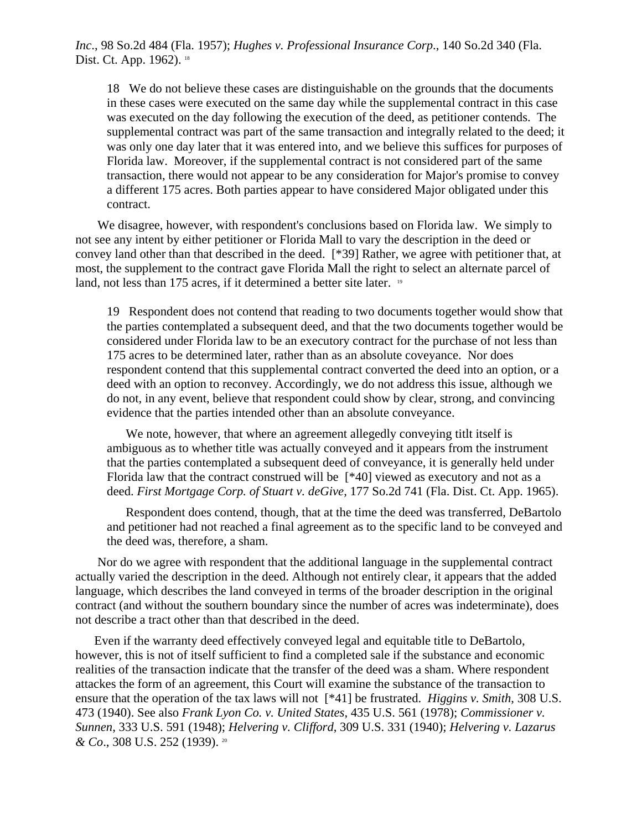*Inc*., 98 So.2d 484 (Fla. 1957); *Hughes v. Professional Insurance Corp*., 140 So.2d 340 (Fla. Dist. Ct. App. 1962). <sup>18</sup>

18 We do not believe these cases are distinguishable on the grounds that the documents in these cases were executed on the same day while the supplemental contract in this case was executed on the day following the execution of the deed, as petitioner contends. The supplemental contract was part of the same transaction and integrally related to the deed; it was only one day later that it was entered into, and we believe this suffices for purposes of Florida law. Moreover, if the supplemental contract is not considered part of the same transaction, there would not appear to be any consideration for Major's promise to convey a different 175 acres. Both parties appear to have considered Major obligated under this contract.

 We disagree, however, with respondent's conclusions based on Florida law. We simply to not see any intent by either petitioner or Florida Mall to vary the description in the deed or convey land other than that described in the deed. [\*39] Rather, we agree with petitioner that, at most, the supplement to the contract gave Florida Mall the right to select an alternate parcel of land, not less than 175 acres, if it determined a better site later. <sup>19</sup>

19 Respondent does not contend that reading to two documents together would show that the parties contemplated a subsequent deed, and that the two documents together would be considered under Florida law to be an executory contract for the purchase of not less than 175 acres to be determined later, rather than as an absolute coveyance. Nor does respondent contend that this supplemental contract converted the deed into an option, or a deed with an option to reconvey. Accordingly, we do not address this issue, although we do not, in any event, believe that respondent could show by clear, strong, and convincing evidence that the parties intended other than an absolute conveyance.

We note, however, that where an agreement allegedly conveying titlt itself is ambiguous as to whether title was actually conveyed and it appears from the instrument that the parties contemplated a subsequent deed of conveyance, it is generally held under Florida law that the contract construed will be [\*40] viewed as executory and not as a deed. *First Mortgage Corp. of Stuart v. deGive*, 177 So.2d 741 (Fla. Dist. Ct. App. 1965).

Respondent does contend, though, that at the time the deed was transferred, DeBartolo and petitioner had not reached a final agreement as to the specific land to be conveyed and the deed was, therefore, a sham.

 Nor do we agree with respondent that the additional language in the supplemental contract actually varied the description in the deed. Although not entirely clear, it appears that the added language, which describes the land conveyed in terms of the broader description in the original contract (and without the southern boundary since the number of acres was indeterminate), does not describe a tract other than that described in the deed.

Even if the warranty deed effectively conveyed legal and equitable title to DeBartolo, however, this is not of itself sufficient to find a completed sale if the substance and economic realities of the transaction indicate that the transfer of the deed was a sham. Where respondent attackes the form of an agreement, this Court will examine the substance of the transaction to ensure that the operation of the tax laws will not [\*41] be frustrated. *Higgins v. Smith*, 308 U.S. 473 (1940). See also *Frank Lyon Co. v. United States*, 435 U.S. 561 (1978); *Commissioner v. Sunnen*, 333 U.S. 591 (1948); *Helvering v. Clifford*, 309 U.S. 331 (1940); *Helvering v. Lazarus & Co*., 308 U.S. 252 (1939). 20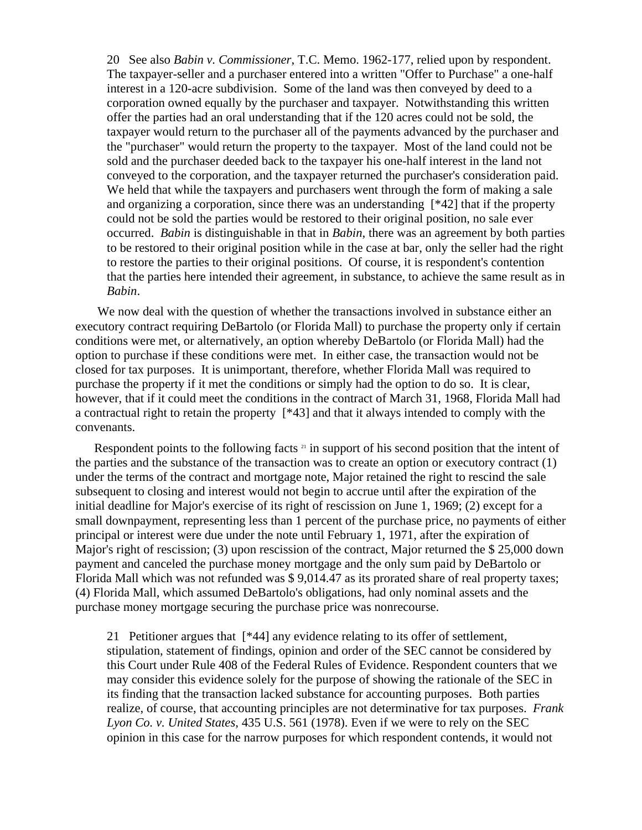20 See also *Babin v. Commissioner*, T.C. Memo. 1962-177, relied upon by respondent. The taxpayer-seller and a purchaser entered into a written "Offer to Purchase" a one-half interest in a 120-acre subdivision. Some of the land was then conveyed by deed to a corporation owned equally by the purchaser and taxpayer. Notwithstanding this written offer the parties had an oral understanding that if the 120 acres could not be sold, the taxpayer would return to the purchaser all of the payments advanced by the purchaser and the "purchaser" would return the property to the taxpayer. Most of the land could not be sold and the purchaser deeded back to the taxpayer his one-half interest in the land not conveyed to the corporation, and the taxpayer returned the purchaser's consideration paid. We held that while the taxpayers and purchasers went through the form of making a sale and organizing a corporation, since there was an understanding [\*42] that if the property could not be sold the parties would be restored to their original position, no sale ever occurred. *Babin* is distinguishable in that in *Babin*, there was an agreement by both parties to be restored to their original position while in the case at bar, only the seller had the right to restore the parties to their original positions. Of course, it is respondent's contention that the parties here intended their agreement, in substance, to achieve the same result as in *Babin*.

 We now deal with the question of whether the transactions involved in substance either an executory contract requiring DeBartolo (or Florida Mall) to purchase the property only if certain conditions were met, or alternatively, an option whereby DeBartolo (or Florida Mall) had the option to purchase if these conditions were met. In either case, the transaction would not be closed for tax purposes. It is unimportant, therefore, whether Florida Mall was required to purchase the property if it met the conditions or simply had the option to do so. It is clear, however, that if it could meet the conditions in the contract of March 31, 1968, Florida Mall had a contractual right to retain the property [\*43] and that it always intended to comply with the convenants.

Respondent points to the following facts  $21$  in support of his second position that the intent of the parties and the substance of the transaction was to create an option or executory contract (1) under the terms of the contract and mortgage note, Major retained the right to rescind the sale subsequent to closing and interest would not begin to accrue until after the expiration of the initial deadline for Major's exercise of its right of rescission on June 1, 1969; (2) except for a small downpayment, representing less than 1 percent of the purchase price, no payments of either principal or interest were due under the note until February 1, 1971, after the expiration of Major's right of rescission; (3) upon rescission of the contract, Major returned the \$ 25,000 down payment and canceled the purchase money mortgage and the only sum paid by DeBartolo or Florida Mall which was not refunded was \$ 9,014.47 as its prorated share of real property taxes; (4) Florida Mall, which assumed DeBartolo's obligations, had only nominal assets and the purchase money mortgage securing the purchase price was nonrecourse.

21 Petitioner argues that [\*44] any evidence relating to its offer of settlement, stipulation, statement of findings, opinion and order of the SEC cannot be considered by this Court under Rule 408 of the Federal Rules of Evidence. Respondent counters that we may consider this evidence solely for the purpose of showing the rationale of the SEC in its finding that the transaction lacked substance for accounting purposes. Both parties realize, of course, that accounting principles are not determinative for tax purposes. *Frank Lyon Co. v. United States*, 435 U.S. 561 (1978). Even if we were to rely on the SEC opinion in this case for the narrow purposes for which respondent contends, it would not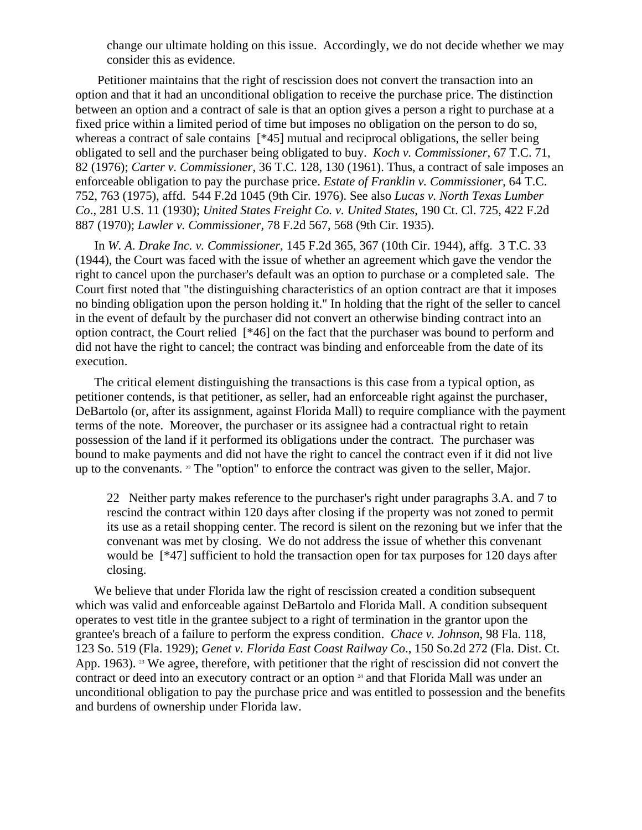change our ultimate holding on this issue. Accordingly, we do not decide whether we may consider this as evidence.

 Petitioner maintains that the right of rescission does not convert the transaction into an option and that it had an unconditional obligation to receive the purchase price. The distinction between an option and a contract of sale is that an option gives a person a right to purchase at a fixed price within a limited period of time but imposes no obligation on the person to do so, whereas a contract of sale contains [\*45] mutual and reciprocal obligations, the seller being obligated to sell and the purchaser being obligated to buy. *Koch v. Commissioner*, 67 T.C. 71, 82 (1976); *Carter v. Commissioner*, 36 T.C. 128, 130 (1961). Thus, a contract of sale imposes an enforceable obligation to pay the purchase price. *Estate of Franklin v. Commissioner*, 64 T.C. 752, 763 (1975), affd. 544 F.2d 1045 (9th Cir. 1976). See also *Lucas v. North Texas Lumber Co*., 281 U.S. 11 (1930); *United States Freight Co. v. United States*, 190 Ct. Cl. 725, 422 F.2d 887 (1970); *Lawler v. Commissioner*, 78 F.2d 567, 568 (9th Cir. 1935).

In *W. A. Drake Inc. v. Commissioner,* 145 F.2d 365, 367 (10th Cir. 1944), affg. 3 T.C. 33 (1944), the Court was faced with the issue of whether an agreement which gave the vendor the right to cancel upon the purchaser's default was an option to purchase or a completed sale. The Court first noted that "the distinguishing characteristics of an option contract are that it imposes no binding obligation upon the person holding it." In holding that the right of the seller to cancel in the event of default by the purchaser did not convert an otherwise binding contract into an option contract, the Court relied [\*46] on the fact that the purchaser was bound to perform and did not have the right to cancel; the contract was binding and enforceable from the date of its execution.

The critical element distinguishing the transactions is this case from a typical option, as petitioner contends, is that petitioner, as seller, had an enforceable right against the purchaser, DeBartolo (or, after its assignment, against Florida Mall) to require compliance with the payment terms of the note. Moreover, the purchaser or its assignee had a contractual right to retain possession of the land if it performed its obligations under the contract. The purchaser was bound to make payments and did not have the right to cancel the contract even if it did not live up to the convenants.  $2^{\circ}$  The "option" to enforce the contract was given to the seller, Major.

22 Neither party makes reference to the purchaser's right under paragraphs 3.A. and 7 to rescind the contract within 120 days after closing if the property was not zoned to permit its use as a retail shopping center. The record is silent on the rezoning but we infer that the convenant was met by closing. We do not address the issue of whether this convenant would be [\*47] sufficient to hold the transaction open for tax purposes for 120 days after closing.

We believe that under Florida law the right of rescission created a condition subsequent which was valid and enforceable against DeBartolo and Florida Mall. A condition subsequent operates to vest title in the grantee subject to a right of termination in the grantor upon the grantee's breach of a failure to perform the express condition. *Chace v. Johnson*, 98 Fla. 118, 123 So. 519 (Fla. 1929); *Genet v. Florida East Coast Railway Co*., 150 So.2d 272 (Fla. Dist. Ct. App. 1963). <sup>23</sup> We agree, therefore, with petitioner that the right of rescission did not convert the contract or deed into an executory contract or an option <sup>24</sup> and that Florida Mall was under an unconditional obligation to pay the purchase price and was entitled to possession and the benefits and burdens of ownership under Florida law.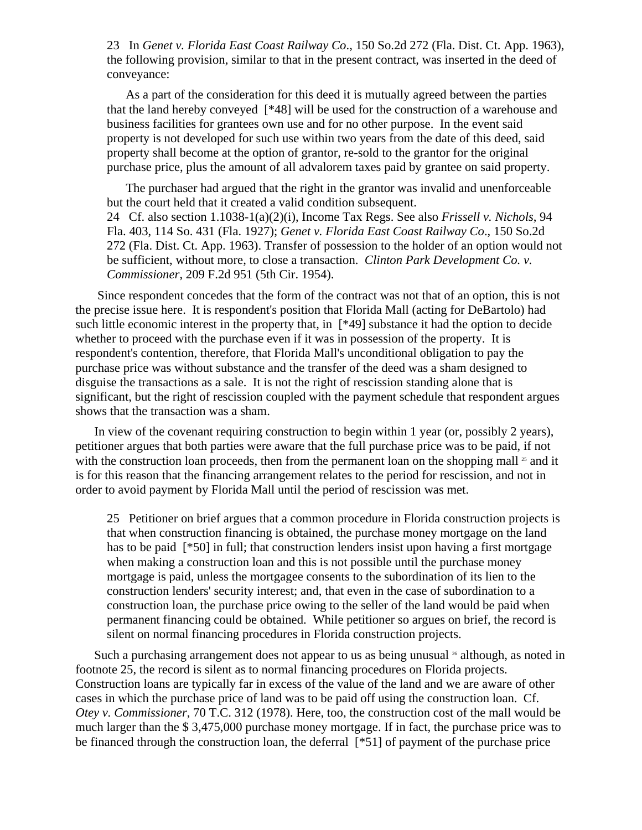23 In *Genet v. Florida East Coast Railway Co*., 150 So.2d 272 (Fla. Dist. Ct. App. 1963), the following provision, similar to that in the present contract, was inserted in the deed of conveyance:

As a part of the consideration for this deed it is mutually agreed between the parties that the land hereby conveyed [\*48] will be used for the construction of a warehouse and business facilities for grantees own use and for no other purpose. In the event said property is not developed for such use within two years from the date of this deed, said property shall become at the option of grantor, re-sold to the grantor for the original purchase price, plus the amount of all advalorem taxes paid by grantee on said property.

The purchaser had argued that the right in the grantor was invalid and unenforceable but the court held that it created a valid condition subsequent. 24 Cf. also section 1.1038-1(a)(2)(i), Income Tax Regs. See also *Frissell v. Nichols*, 94 Fla. 403, 114 So. 431 (Fla. 1927); *Genet v. Florida East Coast Railway Co*., 150 So.2d 272 (Fla. Dist. Ct. App. 1963). Transfer of possession to the holder of an option would not be sufficient, without more, to close a transaction. *Clinton Park Development Co. v. Commissioner*, 209 F.2d 951 (5th Cir. 1954).

 Since respondent concedes that the form of the contract was not that of an option, this is not the precise issue here. It is respondent's position that Florida Mall (acting for DeBartolo) had such little economic interest in the property that, in [\*49] substance it had the option to decide whether to proceed with the purchase even if it was in possession of the property. It is respondent's contention, therefore, that Florida Mall's unconditional obligation to pay the purchase price was without substance and the transfer of the deed was a sham designed to disguise the transactions as a sale. It is not the right of rescission standing alone that is significant, but the right of rescission coupled with the payment schedule that respondent argues shows that the transaction was a sham.

In view of the covenant requiring construction to begin within 1 year (or, possibly 2 years), petitioner argues that both parties were aware that the full purchase price was to be paid, if not with the construction loan proceeds, then from the permanent loan on the shopping mall  $\alpha$  and it is for this reason that the financing arrangement relates to the period for rescission, and not in order to avoid payment by Florida Mall until the period of rescission was met.

25 Petitioner on brief argues that a common procedure in Florida construction projects is that when construction financing is obtained, the purchase money mortgage on the land has to be paid [\*50] in full; that construction lenders insist upon having a first mortgage when making a construction loan and this is not possible until the purchase money mortgage is paid, unless the mortgagee consents to the subordination of its lien to the construction lenders' security interest; and, that even in the case of subordination to a construction loan, the purchase price owing to the seller of the land would be paid when permanent financing could be obtained. While petitioner so argues on brief, the record is silent on normal financing procedures in Florida construction projects.

Such a purchasing arrangement does not appear to us as being unusual  $\alpha$  although, as noted in footnote 25, the record is silent as to normal financing procedures on Florida projects. Construction loans are typically far in excess of the value of the land and we are aware of other cases in which the purchase price of land was to be paid off using the construction loan. Cf. *Otey v. Commissioner*, 70 T.C. 312 (1978). Here, too, the construction cost of the mall would be much larger than the \$ 3,475,000 purchase money mortgage. If in fact, the purchase price was to be financed through the construction loan, the deferral [\*51] of payment of the purchase price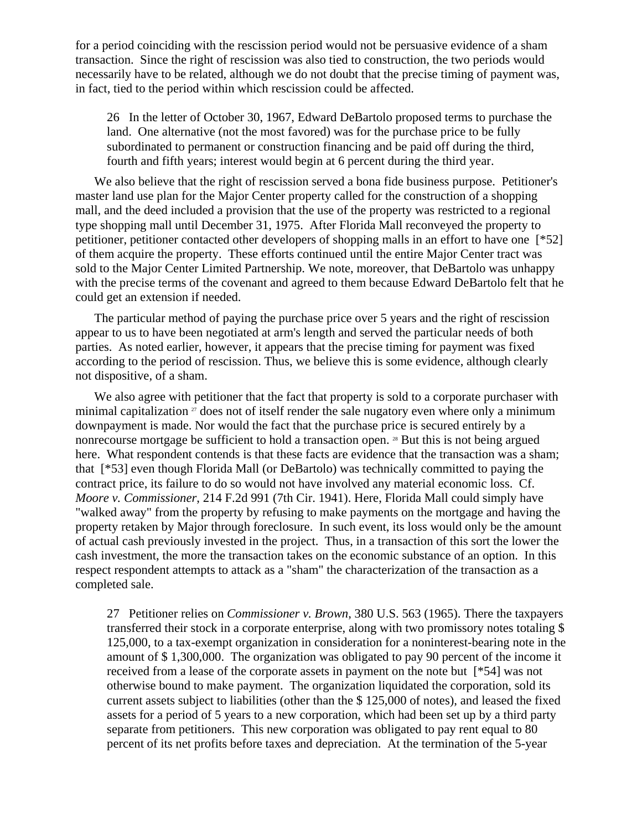for a period coinciding with the rescission period would not be persuasive evidence of a sham transaction. Since the right of rescission was also tied to construction, the two periods would necessarily have to be related, although we do not doubt that the precise timing of payment was, in fact, tied to the period within which rescission could be affected.

26 In the letter of October 30, 1967, Edward DeBartolo proposed terms to purchase the land. One alternative (not the most favored) was for the purchase price to be fully subordinated to permanent or construction financing and be paid off during the third, fourth and fifth years; interest would begin at 6 percent during the third year.

We also believe that the right of rescission served a bona fide business purpose. Petitioner's master land use plan for the Major Center property called for the construction of a shopping mall, and the deed included a provision that the use of the property was restricted to a regional type shopping mall until December 31, 1975. After Florida Mall reconveyed the property to petitioner, petitioner contacted other developers of shopping malls in an effort to have one [\*52] of them acquire the property. These efforts continued until the entire Major Center tract was sold to the Major Center Limited Partnership. We note, moreover, that DeBartolo was unhappy with the precise terms of the covenant and agreed to them because Edward DeBartolo felt that he could get an extension if needed.

The particular method of paying the purchase price over 5 years and the right of rescission appear to us to have been negotiated at arm's length and served the particular needs of both parties. As noted earlier, however, it appears that the precise timing for payment was fixed according to the period of rescission. Thus, we believe this is some evidence, although clearly not dispositive, of a sham.

We also agree with petitioner that the fact that property is sold to a corporate purchaser with minimal capitalization  $\alpha$  does not of itself render the sale nugatory even where only a minimum downpayment is made. Nor would the fact that the purchase price is secured entirely by a nonrecourse mortgage be sufficient to hold a transaction open. 28 But this is not being argued here. What respondent contends is that these facts are evidence that the transaction was a sham; that [\*53] even though Florida Mall (or DeBartolo) was technically committed to paying the contract price, its failure to do so would not have involved any material economic loss. Cf. *Moore v. Commissioner*, 214 F.2d 991 (7th Cir. 1941). Here, Florida Mall could simply have "walked away" from the property by refusing to make payments on the mortgage and having the property retaken by Major through foreclosure. In such event, its loss would only be the amount of actual cash previously invested in the project. Thus, in a transaction of this sort the lower the cash investment, the more the transaction takes on the economic substance of an option. In this respect respondent attempts to attack as a "sham" the characterization of the transaction as a completed sale.

27 Petitioner relies on *Commissioner v. Brown*, 380 U.S. 563 (1965). There the taxpayers transferred their stock in a corporate enterprise, along with two promissory notes totaling \$ 125,000, to a tax-exempt organization in consideration for a noninterest-bearing note in the amount of \$ 1,300,000. The organization was obligated to pay 90 percent of the income it received from a lease of the corporate assets in payment on the note but [\*54] was not otherwise bound to make payment. The organization liquidated the corporation, sold its current assets subject to liabilities (other than the \$ 125,000 of notes), and leased the fixed assets for a period of 5 years to a new corporation, which had been set up by a third party separate from petitioners. This new corporation was obligated to pay rent equal to 80 percent of its net profits before taxes and depreciation. At the termination of the 5-year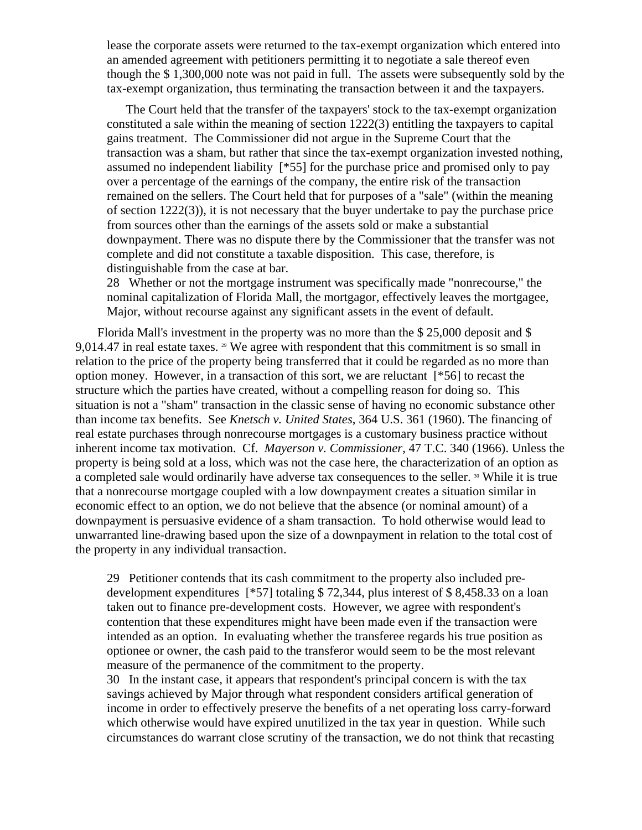lease the corporate assets were returned to the tax-exempt organization which entered into an amended agreement with petitioners permitting it to negotiate a sale thereof even though the \$ 1,300,000 note was not paid in full. The assets were subsequently sold by the tax-exempt organization, thus terminating the transaction between it and the taxpayers.

The Court held that the transfer of the taxpayers' stock to the tax-exempt organization constituted a sale within the meaning of section 1222(3) entitling the taxpayers to capital gains treatment. The Commissioner did not argue in the Supreme Court that the transaction was a sham, but rather that since the tax-exempt organization invested nothing, assumed no independent liability [\*55] for the purchase price and promised only to pay over a percentage of the earnings of the company, the entire risk of the transaction remained on the sellers. The Court held that for purposes of a "sale" (within the meaning of section 1222(3)), it is not necessary that the buyer undertake to pay the purchase price from sources other than the earnings of the assets sold or make a substantial downpayment. There was no dispute there by the Commissioner that the transfer was not complete and did not constitute a taxable disposition. This case, therefore, is distinguishable from the case at bar.

28 Whether or not the mortgage instrument was specifically made "nonrecourse," the nominal capitalization of Florida Mall, the mortgagor, effectively leaves the mortgagee, Major, without recourse against any significant assets in the event of default.

 Florida Mall's investment in the property was no more than the \$ 25,000 deposit and \$ 9,014.47 in real estate taxes.  $29$  We agree with respondent that this commitment is so small in relation to the price of the property being transferred that it could be regarded as no more than option money. However, in a transaction of this sort, we are reluctant [\*56] to recast the structure which the parties have created, without a compelling reason for doing so. This situation is not a "sham" transaction in the classic sense of having no economic substance other than income tax benefits. See *Knetsch v. United States*, 364 U.S. 361 (1960). The financing of real estate purchases through nonrecourse mortgages is a customary business practice without inherent income tax motivation. Cf. *Mayerson v. Commissioner*, 47 T.C. 340 (1966). Unless the property is being sold at a loss, which was not the case here, the characterization of an option as a completed sale would ordinarily have adverse tax consequences to the seller. <sup>30</sup> While it is true that a nonrecourse mortgage coupled with a low downpayment creates a situation similar in economic effect to an option, we do not believe that the absence (or nominal amount) of a downpayment is persuasive evidence of a sham transaction. To hold otherwise would lead to unwarranted line-drawing based upon the size of a downpayment in relation to the total cost of the property in any individual transaction.

29 Petitioner contends that its cash commitment to the property also included predevelopment expenditures [\*57] totaling \$ 72,344, plus interest of \$ 8,458.33 on a loan taken out to finance pre-development costs. However, we agree with respondent's contention that these expenditures might have been made even if the transaction were intended as an option. In evaluating whether the transferee regards his true position as optionee or owner, the cash paid to the transferor would seem to be the most relevant measure of the permanence of the commitment to the property.

30 In the instant case, it appears that respondent's principal concern is with the tax savings achieved by Major through what respondent considers artifical generation of income in order to effectively preserve the benefits of a net operating loss carry-forward which otherwise would have expired unutilized in the tax year in question. While such circumstances do warrant close scrutiny of the transaction, we do not think that recasting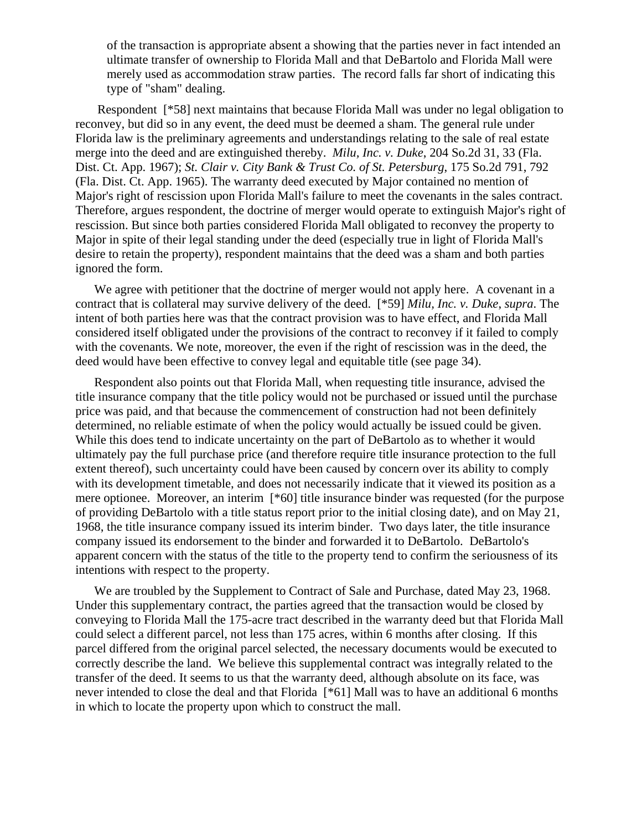of the transaction is appropriate absent a showing that the parties never in fact intended an ultimate transfer of ownership to Florida Mall and that DeBartolo and Florida Mall were merely used as accommodation straw parties. The record falls far short of indicating this type of "sham" dealing.

 Respondent [\*58] next maintains that because Florida Mall was under no legal obligation to reconvey, but did so in any event, the deed must be deemed a sham. The general rule under Florida law is the preliminary agreements and understandings relating to the sale of real estate merge into the deed and are extinguished thereby. *Milu, Inc. v. Duke*, 204 So.2d 31, 33 (Fla. Dist. Ct. App. 1967); *St. Clair v. City Bank & Trust Co. of St. Petersburg*, 175 So.2d 791, 792 (Fla. Dist. Ct. App. 1965). The warranty deed executed by Major contained no mention of Major's right of rescission upon Florida Mall's failure to meet the covenants in the sales contract. Therefore, argues respondent, the doctrine of merger would operate to extinguish Major's right of rescission. But since both parties considered Florida Mall obligated to reconvey the property to Major in spite of their legal standing under the deed (especially true in light of Florida Mall's desire to retain the property), respondent maintains that the deed was a sham and both parties ignored the form.

We agree with petitioner that the doctrine of merger would not apply here. A covenant in a contract that is collateral may survive delivery of the deed. [\*59] *Milu, Inc. v. Duke*, *supra*. The intent of both parties here was that the contract provision was to have effect, and Florida Mall considered itself obligated under the provisions of the contract to reconvey if it failed to comply with the covenants. We note, moreover, the even if the right of rescission was in the deed, the deed would have been effective to convey legal and equitable title (see page 34).

Respondent also points out that Florida Mall, when requesting title insurance, advised the title insurance company that the title policy would not be purchased or issued until the purchase price was paid, and that because the commencement of construction had not been definitely determined, no reliable estimate of when the policy would actually be issued could be given. While this does tend to indicate uncertainty on the part of DeBartolo as to whether it would ultimately pay the full purchase price (and therefore require title insurance protection to the full extent thereof), such uncertainty could have been caused by concern over its ability to comply with its development timetable, and does not necessarily indicate that it viewed its position as a mere optionee. Moreover, an interim [\*60] title insurance binder was requested (for the purpose of providing DeBartolo with a title status report prior to the initial closing date), and on May 21, 1968, the title insurance company issued its interim binder. Two days later, the title insurance company issued its endorsement to the binder and forwarded it to DeBartolo. DeBartolo's apparent concern with the status of the title to the property tend to confirm the seriousness of its intentions with respect to the property.

We are troubled by the Supplement to Contract of Sale and Purchase, dated May 23, 1968. Under this supplementary contract, the parties agreed that the transaction would be closed by conveying to Florida Mall the 175-acre tract described in the warranty deed but that Florida Mall could select a different parcel, not less than 175 acres, within 6 months after closing. If this parcel differed from the original parcel selected, the necessary documents would be executed to correctly describe the land. We believe this supplemental contract was integrally related to the transfer of the deed. It seems to us that the warranty deed, although absolute on its face, was never intended to close the deal and that Florida [\*61] Mall was to have an additional 6 months in which to locate the property upon which to construct the mall.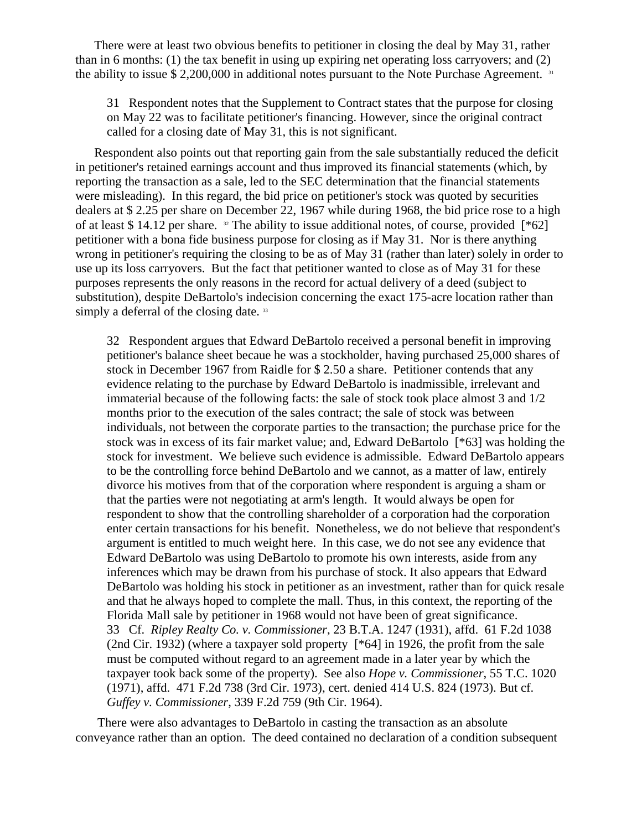There were at least two obvious benefits to petitioner in closing the deal by May 31, rather than in 6 months: (1) the tax benefit in using up expiring net operating loss carryovers; and  $(2)$ the ability to issue \$ 2,200,000 in additional notes pursuant to the Note Purchase Agreement. 31

31 Respondent notes that the Supplement to Contract states that the purpose for closing on May 22 was to facilitate petitioner's financing. However, since the original contract called for a closing date of May 31, this is not significant.

Respondent also points out that reporting gain from the sale substantially reduced the deficit in petitioner's retained earnings account and thus improved its financial statements (which, by reporting the transaction as a sale, led to the SEC determination that the financial statements were misleading). In this regard, the bid price on petitioner's stock was quoted by securities dealers at \$ 2.25 per share on December 22, 1967 while during 1968, the bid price rose to a high of at least \$ 14.12 per share. <sup>32</sup> The ability to issue additional notes, of course, provided [\*62] petitioner with a bona fide business purpose for closing as if May 31. Nor is there anything wrong in petitioner's requiring the closing to be as of May 31 (rather than later) solely in order to use up its loss carryovers. But the fact that petitioner wanted to close as of May 31 for these purposes represents the only reasons in the record for actual delivery of a deed (subject to substitution), despite DeBartolo's indecision concerning the exact 175-acre location rather than simply a deferral of the closing date.<sup>33</sup>

32 Respondent argues that Edward DeBartolo received a personal benefit in improving petitioner's balance sheet becaue he was a stockholder, having purchased 25,000 shares of stock in December 1967 from Raidle for \$ 2.50 a share. Petitioner contends that any evidence relating to the purchase by Edward DeBartolo is inadmissible, irrelevant and immaterial because of the following facts: the sale of stock took place almost 3 and 1/2 months prior to the execution of the sales contract; the sale of stock was between individuals, not between the corporate parties to the transaction; the purchase price for the stock was in excess of its fair market value; and, Edward DeBartolo [\*63] was holding the stock for investment. We believe such evidence is admissible. Edward DeBartolo appears to be the controlling force behind DeBartolo and we cannot, as a matter of law, entirely divorce his motives from that of the corporation where respondent is arguing a sham or that the parties were not negotiating at arm's length. It would always be open for respondent to show that the controlling shareholder of a corporation had the corporation enter certain transactions for his benefit. Nonetheless, we do not believe that respondent's argument is entitled to much weight here. In this case, we do not see any evidence that Edward DeBartolo was using DeBartolo to promote his own interests, aside from any inferences which may be drawn from his purchase of stock. It also appears that Edward DeBartolo was holding his stock in petitioner as an investment, rather than for quick resale and that he always hoped to complete the mall. Thus, in this context, the reporting of the Florida Mall sale by petitioner in 1968 would not have been of great significance. 33 Cf. *Ripley Realty Co. v. Commissioner*, 23 B.T.A. 1247 (1931), affd. 61 F.2d 1038 (2nd Cir. 1932) (where a taxpayer sold property [\*64] in 1926, the profit from the sale must be computed without regard to an agreement made in a later year by which the taxpayer took back some of the property). See also *Hope v. Commissioner*, 55 T.C. 1020 (1971), affd. 471 F.2d 738 (3rd Cir. 1973), cert. denied 414 U.S. 824 (1973). But cf. *Guffey v. Commissioner*, 339 F.2d 759 (9th Cir. 1964).

 There were also advantages to DeBartolo in casting the transaction as an absolute conveyance rather than an option. The deed contained no declaration of a condition subsequent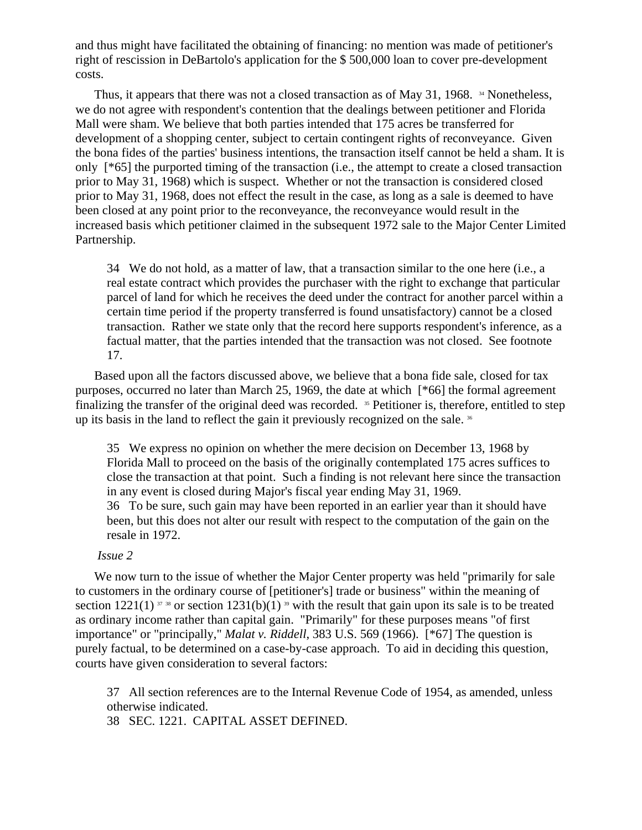and thus might have facilitated the obtaining of financing: no mention was made of petitioner's right of rescission in DeBartolo's application for the \$ 500,000 loan to cover pre-development costs.

Thus, it appears that there was not a closed transaction as of May 31, 1968.  $\frac{34}{4}$  Nonetheless, we do not agree with respondent's contention that the dealings between petitioner and Florida Mall were sham. We believe that both parties intended that 175 acres be transferred for development of a shopping center, subject to certain contingent rights of reconveyance. Given the bona fides of the parties' business intentions, the transaction itself cannot be held a sham. It is only [\*65] the purported timing of the transaction (i.e., the attempt to create a closed transaction prior to May 31, 1968) which is suspect. Whether or not the transaction is considered closed prior to May 31, 1968, does not effect the result in the case, as long as a sale is deemed to have been closed at any point prior to the reconveyance, the reconveyance would result in the increased basis which petitioner claimed in the subsequent 1972 sale to the Major Center Limited Partnership.

34 We do not hold, as a matter of law, that a transaction similar to the one here (i.e., a real estate contract which provides the purchaser with the right to exchange that particular parcel of land for which he receives the deed under the contract for another parcel within a certain time period if the property transferred is found unsatisfactory) cannot be a closed transaction. Rather we state only that the record here supports respondent's inference, as a factual matter, that the parties intended that the transaction was not closed. See footnote 17.

Based upon all the factors discussed above, we believe that a bona fide sale, closed for tax purposes, occurred no later than March 25, 1969, the date at which [\*66] the formal agreement finalizing the transfer of the original deed was recorded. 35 Petitioner is, therefore, entitled to step up its basis in the land to reflect the gain it previously recognized on the sale.<sup>36</sup>

35 We express no opinion on whether the mere decision on December 13, 1968 by Florida Mall to proceed on the basis of the originally contemplated 175 acres suffices to close the transaction at that point. Such a finding is not relevant here since the transaction in any event is closed during Major's fiscal year ending May 31, 1969. 36 To be sure, such gain may have been reported in an earlier year than it should have been, but this does not alter our result with respect to the computation of the gain on the resale in 1972.

## *Issue 2*

We now turn to the issue of whether the Major Center property was held "primarily for sale to customers in the ordinary course of [petitioner's] trade or business" within the meaning of section 1221(1)  $\frac{37}{38}$  or section 1231(b)(1)  $\frac{39}{38}$  with the result that gain upon its sale is to be treated as ordinary income rather than capital gain. "Primarily" for these purposes means "of first importance" or "principally," *Malat v. Riddell*, 383 U.S. 569 (1966). [\*67] The question is purely factual, to be determined on a case-by-case approach. To aid in deciding this question, courts have given consideration to several factors:

37 All section references are to the Internal Revenue Code of 1954, as amended, unless otherwise indicated.

38 SEC. 1221. CAPITAL ASSET DEFINED.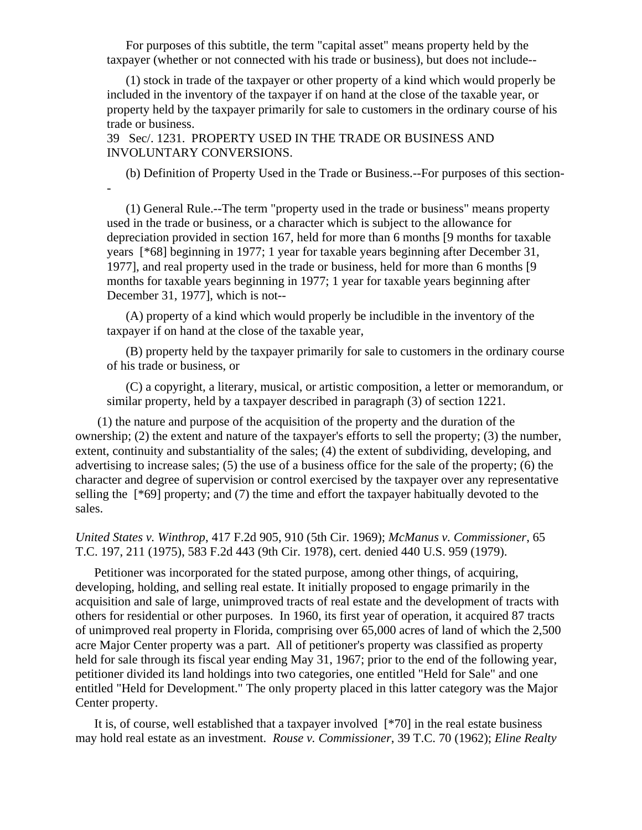For purposes of this subtitle, the term "capital asset" means property held by the taxpayer (whether or not connected with his trade or business), but does not include--

(1) stock in trade of the taxpayer or other property of a kind which would properly be included in the inventory of the taxpayer if on hand at the close of the taxable year, or property held by the taxpayer primarily for sale to customers in the ordinary course of his trade or business.

39 Sec/. 1231. PROPERTY USED IN THE TRADE OR BUSINESS AND INVOLUNTARY CONVERSIONS.

-

(b) Definition of Property Used in the Trade or Business.--For purposes of this section-

(1) General Rule.--The term "property used in the trade or business" means property used in the trade or business, or a character which is subject to the allowance for depreciation provided in section 167, held for more than 6 months [9 months for taxable years [\*68] beginning in 1977; 1 year for taxable years beginning after December 31, 1977], and real property used in the trade or business, held for more than 6 months [9 months for taxable years beginning in 1977; 1 year for taxable years beginning after December 31, 1977], which is not--

(A) property of a kind which would properly be includible in the inventory of the taxpayer if on hand at the close of the taxable year,

(B) property held by the taxpayer primarily for sale to customers in the ordinary course of his trade or business, or

(C) a copyright, a literary, musical, or artistic composition, a letter or memorandum, or similar property, held by a taxpayer described in paragraph (3) of section 1221.

 (1) the nature and purpose of the acquisition of the property and the duration of the ownership; (2) the extent and nature of the taxpayer's efforts to sell the property; (3) the number, extent, continuity and substantiality of the sales; (4) the extent of subdividing, developing, and advertising to increase sales; (5) the use of a business office for the sale of the property; (6) the character and degree of supervision or control exercised by the taxpayer over any representative selling the [\*69] property; and (7) the time and effort the taxpayer habitually devoted to the sales.

*United States v. Winthrop*, 417 F.2d 905, 910 (5th Cir. 1969); *McManus v. Commissioner*, 65 T.C. 197, 211 (1975), 583 F.2d 443 (9th Cir. 1978), cert. denied 440 U.S. 959 (1979).

Petitioner was incorporated for the stated purpose, among other things, of acquiring, developing, holding, and selling real estate. It initially proposed to engage primarily in the acquisition and sale of large, unimproved tracts of real estate and the development of tracts with others for residential or other purposes. In 1960, its first year of operation, it acquired 87 tracts of unimproved real property in Florida, comprising over 65,000 acres of land of which the 2,500 acre Major Center property was a part. All of petitioner's property was classified as property held for sale through its fiscal year ending May 31, 1967; prior to the end of the following year, petitioner divided its land holdings into two categories, one entitled "Held for Sale" and one entitled "Held for Development." The only property placed in this latter category was the Major Center property.

It is, of course, well established that a taxpayer involved [\*70] in the real estate business may hold real estate as an investment. *Rouse v. Commissioner*, 39 T.C. 70 (1962); *Eline Realty*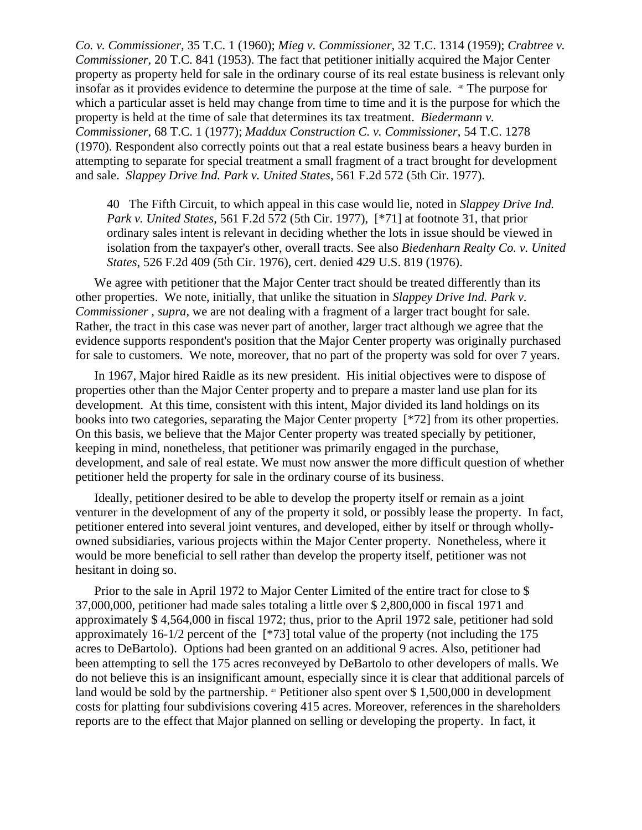*Co. v. Commissioner*, 35 T.C. 1 (1960); *Mieg v. Commissioner*, 32 T.C. 1314 (1959); *Crabtree v. Commissioner*, 20 T.C. 841 (1953). The fact that petitioner initially acquired the Major Center property as property held for sale in the ordinary course of its real estate business is relevant only insofar as it provides evidence to determine the purpose at the time of sale. 40 The purpose for which a particular asset is held may change from time to time and it is the purpose for which the property is held at the time of sale that determines its tax treatment. *Biedermann v. Commissioner*, 68 T.C. 1 (1977); *Maddux Construction C. v. Commissioner*, 54 T.C. 1278 (1970). Respondent also correctly points out that a real estate business bears a heavy burden in attempting to separate for special treatment a small fragment of a tract brought for development and sale. *Slappey Drive Ind. Park v. United States*, 561 F.2d 572 (5th Cir. 1977).

40 The Fifth Circuit, to which appeal in this case would lie, noted in *Slappey Drive Ind. Park v. United States*, 561 F.2d 572 (5th Cir. 1977), [\*71] at footnote 31, that prior ordinary sales intent is relevant in deciding whether the lots in issue should be viewed in isolation from the taxpayer's other, overall tracts. See also *Biedenharn Realty Co. v. United States*, 526 F.2d 409 (5th Cir. 1976), cert. denied 429 U.S. 819 (1976).

We agree with petitioner that the Major Center tract should be treated differently than its other properties. We note, initially, that unlike the situation in *Slappey Drive Ind. Park v. Commissioner* , *supra*, we are not dealing with a fragment of a larger tract bought for sale. Rather, the tract in this case was never part of another, larger tract although we agree that the evidence supports respondent's position that the Major Center property was originally purchased for sale to customers. We note, moreover, that no part of the property was sold for over 7 years.

In 1967, Major hired Raidle as its new president. His initial objectives were to dispose of properties other than the Major Center property and to prepare a master land use plan for its development. At this time, consistent with this intent, Major divided its land holdings on its books into two categories, separating the Major Center property [\*72] from its other properties. On this basis, we believe that the Major Center property was treated specially by petitioner, keeping in mind, nonetheless, that petitioner was primarily engaged in the purchase, development, and sale of real estate. We must now answer the more difficult question of whether petitioner held the property for sale in the ordinary course of its business.

Ideally, petitioner desired to be able to develop the property itself or remain as a joint venturer in the development of any of the property it sold, or possibly lease the property. In fact, petitioner entered into several joint ventures, and developed, either by itself or through whollyowned subsidiaries, various projects within the Major Center property. Nonetheless, where it would be more beneficial to sell rather than develop the property itself, petitioner was not hesitant in doing so.

Prior to the sale in April 1972 to Major Center Limited of the entire tract for close to \$ 37,000,000, petitioner had made sales totaling a little over \$ 2,800,000 in fiscal 1971 and approximately \$ 4,564,000 in fiscal 1972; thus, prior to the April 1972 sale, petitioner had sold approximately 16-1/2 percent of the [\*73] total value of the property (not including the 175 acres to DeBartolo). Options had been granted on an additional 9 acres. Also, petitioner had been attempting to sell the 175 acres reconveyed by DeBartolo to other developers of malls. We do not believe this is an insignificant amount, especially since it is clear that additional parcels of land would be sold by the partnership. <sup>41</sup> Petitioner also spent over \$1,500,000 in development costs for platting four subdivisions covering 415 acres. Moreover, references in the shareholders reports are to the effect that Major planned on selling or developing the property. In fact, it